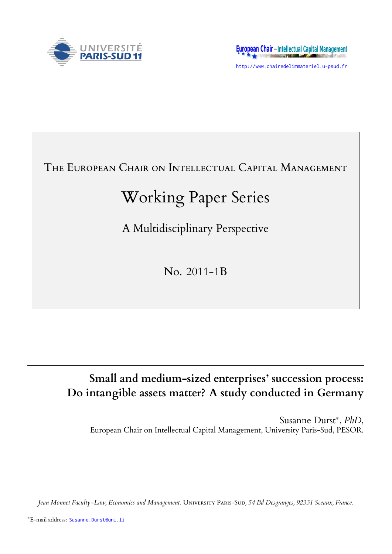

http://www.chairedelimmateriel.u-psud.fr

# THE EUROPEAN CHAIR ON INTELLECTUAL CAPITAL MANAGEMENT

# Working Paper Series

A Multidisciplinary Perspective

No. 2011-1B

# **Small and medium-sized enterprises' succession process: Do intangible assets matter? A study conducted in Germany**

Susanne Durst*∗* , *PhD*, European Chair on Intellectual Capital Management, University Paris-Sud, PESOR.

*Jean Monnet Faculty–Law, Economics and Management.* UNIVERSITY PARIS-SUD, 54 Bd Desgranges, 92331 Sceaux, France.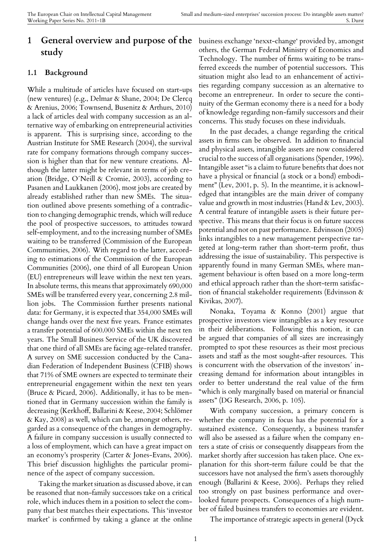# **1 General overview and purpose of the** business exchange 'nexxt-change' provided by, amongst **study**

#### **1.1 Background**

While a multitude of articles have focused on start-ups (new ventures) (e.g., Delmar & Shane, 2004; De Clercq & Arenius, 2006; Townsend, Busenitz & Arthurs, 2010) a lack of articles deal with company succession as an alternative way of embarking on entrepreneurial activities is apparent. This is surprising since, according to the Austrian Institute for SME Research (2004), the survival rate for company formations through company succession is higher than that for new venture creations. Although the latter might be relevant in terms of job creation (Bridge, O´Neill & Cromie, 2003), according to Pasanen and Laukkanen (2006), most jobs are created by already established rather than new SMEs. The situation outlined above presents something of a contradiction to changing demographic trends, which will reduce the pool of prospective successors, to attitudes toward self-employment, and to the increasing number of SMEs waiting to be transferred (Commission of the European Communities, 2006). With regard to the latter, according to estimations of the Commission of the European Communities (2006), one third of all European Union (EU) entrepreneurs will leave within the next ten years. In absolute terms, this means that approximately 690,000 SMEs will be transferred every year, concerning 2.8 million jobs. The Commission further presents national data: for Germany, it is expected that 354,000 SMEs will change hands over the next five years. France estimates a transfer potential of 600.000 SMEs within the next ten years. The Small Business Service of the UK discovered that one third of all SMEs are facing age-related transfer. A survey on SME succession conducted by the Canadian Federation of Independent Business (CFIB) shows that 71% of SME owners are expected to terminate their entrepreneurial engagement within the next ten years (Bruce & Picard, 2006). Additionally, it has to be mentioned that in Germany succession within the family is decreasing (Kerkhoff, Ballarini & Keese, 2004; Schlömer & Kay, 2008) as well, which can be, amongst others, regarded as a consequence of the changes in demography. A failure in company succession is usually connected to a loss of employment, which can have a great impact on an economy's prosperity (Carter & Jones-Evans, 2006). This brief discussion highlights the particular prominence of the aspect of company succession.

Taking the market situation as discussed above, it can be reasoned that non-family successors take on a critical role, which induces them in a position to select the company that best matches their expectations. This 'investor market' is confirmed by taking a glance at the online

others, the German Federal Ministry of Economics and Technology. The number of firms waiting to be transferred exceeds the number of potential successors. This situation might also lead to an enhancement of activities regarding company succession as an alternative to become an entrepreneur. In order to secure the continuity of the German economy there is a need for a body of knowledge regarding non-family successors and their concerns. This study focuses on these individuals.

In the past decades, a change regarding the critical assets in firms can be observed. In addition to financial and physical assets, intangible assets are now considered crucial to the success of all organisations (Spender, 1996). Intangible asset "is a claim to future benefits that does not have a physical or financial (a stock or a bond) embodiment" (Lev, 2001, p. 5). In the meantime, it is acknowledged that intangibles are the main driver of company value and growth in most industries (Hand & Lev, 2003). A central feature of intangible assets is their future perspective. This means that their focus is on future success potential and not on past performance. Edvinsson (2005) links intangibles to a new management perspective targeted at long-term rather than short-term profit, thus addressing the issue of sustainability. This perspective is apparently found in many German SMEs, where management behaviour is often based on a more long-term and ethical approach rather than the short-term satisfaction of financial stakeholder requirements (Edvinsson & Kivikas, 2007).

Nonaka, Toyama & Konno (2001) argue that prospective investors view intangibles as a key resource in their deliberations. Following this notion, it can be argued that companies of all sizes are increasingly prompted to spot these resources as their most precious assets and staff as the most sought-after resources. This is concurrent with the observation of the investors´ increasing demand for information about intangibles in order to better understand the real value of the firm "which is only marginally based on material or financial assets" (DG Research, 2006, p. 105).

With company succession, a primary concern is whether the company in focus has the potential for a sustained existence. Consequently, a business transfer will also be assessed as a failure when the company enters a state of crisis or consequently disappears from the market shortly after succession has taken place. One explanation for this short-term failure could be that the successors have not analysed the firm's assets thoroughly enough (Ballarini & Keese, 2006). Perhaps they relied too strongly on past business performance and overlooked future prospects. Consequences of a high number of failed business transfers to economies are evident.

The importance of strategic aspects in general (Dyck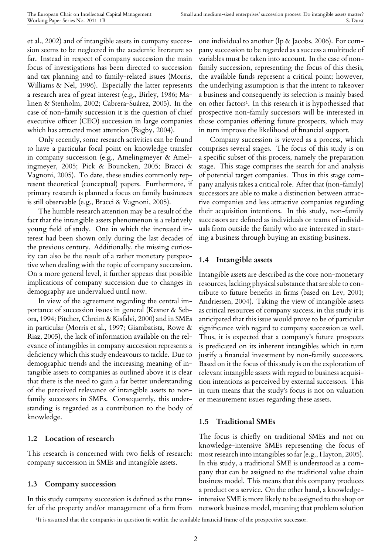et al., 2002) and of intangible assets in company succession seems to be neglected in the academic literature so far. Instead in respect of company succession the main focus of investigations has been directed to succession and tax planning and to family-related issues (Morris, Williams & Nel, 1996). Especially the latter represents a research area of great interest (e.g., Birley, 1986; Malinen & Stenholm, 2002; Cabrera-Suárez, 2005). In the case of non-family succession it is the question of chief executive officer (CEO) succession in large companies which has attracted most attention (Bagby, 2004).

Only recently, some research activities can be found to have a particular focal point on knowledge transfer in company succession (e.g., Amelingmeyer & Amelingmeyer, 2005; Pick & Bouncken, 2005; Bracci & Vagnoni, 2005). To date, these studies commonly represent theoretical (conceptual) papers. Furthermore, if primary research is planned a focus on family businesses is still observable (e.g., Bracci & Vagnoni, 2005).

The humble research attention may be a result of the fact that the intangible assets phenomenon is a relatively young field of study. One in which the increased interest had been shown only during the last decades of the previous century. Additionally, the missing curiosity can also be the result of a rather monetary perspective when dealing with the topic of company succession. On a more general level, it further appears that possible implications of company succession due to changes in demography are undervalued until now.

In view of the agreement regarding the central importance of succession issues in general (Kesner & Sebora, 1994; Pitcher, Chreim & Kisfalvi, 2000) and in SMEs in particular (Morris et al., 1997; Giambatista, Rowe & Riaz, 2005), the lack of information available on the relevance of intangibles in company succession represents a deficiency which this study endeavours to tackle. Due to demographic trends and the increasing meaning of intangible assets to companies as outlined above it is clear that there is the need to gain a far better understanding of the perceived relevance of intangible assets to nonfamily successors in SMEs. Consequently, this understanding is regarded as a contribution to the body of knowledge.

#### **1.2 Location of research**

This research is concerned with two fields of research: company succession in SMEs and intangible assets.

#### **1.3 Company succession**

In this study company succession is defined as the transfer of the property and/or management of a firm from one individual to another (Ip & Jacobs, 2006). For company succession to be regarded as a success a multitude of variables must be taken into account. In the case of nonfamily succession, representing the focus of this thesis, the available funds represent a critical point; however, the underlying assumption is that the intent to takeover a business and consequently its selection is mainly based on other factors<sup>1</sup>. In this research it is hypothesised that prospective non-family successors will be interested in those companies offering future prospects, which may in turn improv[e t](#page-2-0)he likelihood of financial support.

Company succession is viewed as a process, which comprises several stages. The focus of this study is on a specific subset of this process, namely the preparation stage. This stage comprises the search for and analysis of potential target companies. Thus in this stage company analysis takes a critical role. After that (non-family) successors are able to make a distinction between attractive companies and less attractive companies regarding their acquisition intentions. In this study, non-family successors are defined as individuals or teams of individuals from outside the family who are interested in starting a business through buying an existing business.

#### **1.4 Intangible assets**

Intangible assets are described as the core non-monetary resources, lacking physical substance that are able to contribute to future benefits in firms (based on Lev, 2001; Andriessen, 2004). Taking the view of intangible assets as critical resources of company success, in this study it is anticipated that this issue would prove to be of particular significance with regard to company succession as well. Thus, it is expected that a company's future prospects is predicated on its inherent intangibles which in turn justify a financial investment by non-family successors. Based on it the focus of this study is on the exploration of relevant intangible assets with regard to business acquisition intentions as perceived by external successors. This in turn means that the study's focus is not on valuation or measurement issues regarding these assets.

#### **1.5 Traditional SMEs**

The focus is chiefly on traditional SMEs and not on knowledge-intensive SMEs representing the focus of most research into intangibles so far (e.g., Hayton, 2005). In this study, a traditional SME is understood as a company that can be assigned to the traditional value chain business model. This means that this company produces a product or a service. On the other hand, a knowledgeintensive SME is more likely to be assigned to the shop or network business model, meaning that problem solution

<span id="page-2-0"></span><sup>&</sup>lt;sup>1</sup>It is assumed that the companies in question fit within the available financial frame of the prospective successor.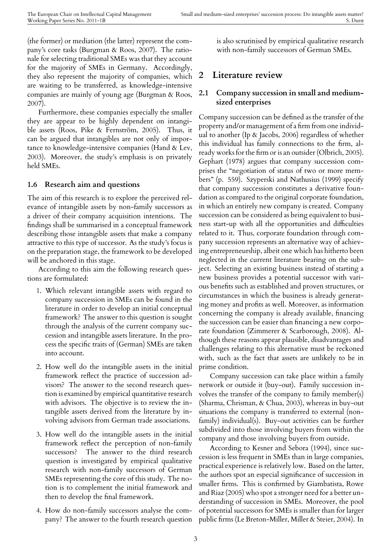(the former) or mediation (the latter) represent the company's core tasks (Burgman & Roos, 2007). The rationale for selecting traditional SMEs was that they account for the majority of SMEs in Germany. Accordingly, they also represent the majority of companies, which are waiting to be transferred, as knowledge-intensive companies are mainly of young age (Burgman & Roos, 2007).

Furthermore, these companies especially the smaller they are appear to be highly dependent on intangible assets (Roos, Pike & Fernström, 2005). Thus, it can be argued that intangibles are not only of importance to knowledge-intensive companies (Hand & Lev, 2003). Moreover, the study's emphasis is on privately held SMEs.

#### **1.6 Research aim and questions**

The aim of this research is to explore the perceived relevance of intangible assets by non-family successors as a driver of their company acquisition intentions. The findings shall be summarised in a conceptual framework describing those intangible assets that make a company attractive to this type of successor. As the study's focus is on the preparation stage, the framework to be developed will be anchored in this stage.

According to this aim the following research questions are formulated:

- 1. Which relevant intangible assets with regard to company succession in SMEs can be found in the literature in order to develop an initial conceptual framework? The answer to this question is sought through the analysis of the current company succession and intangible assets literature. In the process the specific traits of (German) SMEs are taken into account.
- 2. How well do the intangible assets in the initial framework reflect the practice of succession advisors? The answer to the second research question is examined by empirical quantitative research with advisors. The objective is to review the intangible assets derived from the literature by involving advisors from German trade associations.
- 3. How well do the intangible assets in the initial framework reflect the perception of non-family successors? The answer to the third research question is investigated by empirical qualitative research with non-family successors of German SMEs representing the core of this study. The notion is to complement the initial framework and then to develop the final framework.
- 4. How do non-family successors analyse the company? The answer to the fourth research question

is also scrutinised by empirical qualitative research with non-family successors of German SMEs.

## **2 Literature review**

#### **2.1 Company succession in small and mediumsized enterprises**

Company succession can be defined as the transfer of the property and/or management of a firm from one individual to another (Ip & Jacobs, 2006) regardless of whether this individual has family connections to the firm, already works for the firm or is an outsider (Olbrich, 2005). Gephart (1978) argues that company succession comprises the "negotiation of status of two or more members" (p. 559). Szyperski and Nathusius (1999) specify that company succession constitutes a derivative foundation as compared to the original corporate foundation, in which an entirely new company is created. Company succession can be considered as being equivalent to business start-up with all the opportunities and difficulties related to it. Thus, corporate foundation through company succession represents an alternative way of achieving entrepreneurship, albeit one which has hitherto been neglected in the current literature bearing on the subject. Selecting an existing business instead of starting a new business provides a potential successor with various benefits such as established and proven structures, or circumstances in which the business is already generating money and profits as well. Moreover, as information concerning the company is already available, financing the succession can be easier than financing a new corporate foundation (Zimmerer & Scarborough, 2008). Although these reasons appear plausible, disadvantages and challenges relating to this alternative must be reckoned with, such as the fact that assets are unlikely to be in prime condition.

Company succession can take place within a family network or outside it (buy-out). Family succession involves the transfer of the company to family member(s) (Sharma, Chrisman, & Chua, 2003), whereas in buy-out situations the company is transferred to external (nonfamily) individual(s). Buy-out activities can be further subdivided into those involving buyers from within the company and those involving buyers from outside.

According to Kesner and Sebora (1994), since succession is less frequent in SMEs than in large companies, practical experience is relatively low. Based on the latter, the authors spot an especial significance of succession in smaller firms. This is confirmed by Giambatista, Rowe and Riaz (2005) who spot a stronger need for a better understanding of succession in SMEs. Moreover, the pool of potential successors for SMEs is smaller than for larger public firms (Le Breton-Miller, Miller & Steier, 2004). In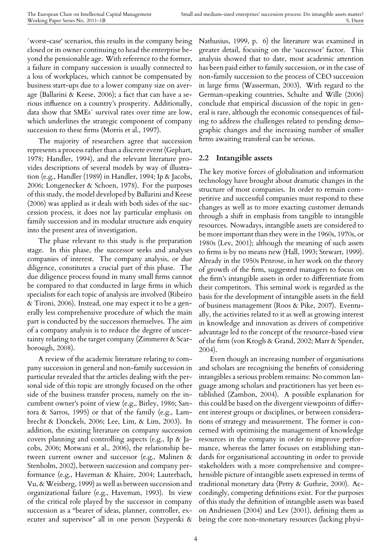´worst-case' scenarios, this results in the company being closed or its owner continuing to head the enterprise beyond the pensionable age. With reference to the former, a failure in company succession is usually connected to a loss of workplaces, which cannot be compensated by business start-ups due to a lower company size on average (Ballarini & Keese, 2006); a fact that can have a serious influence on a country's prosperity. Additionally, data show that SMEs´ survival rates over time are low, which underlines the strategic component of company succession to these firms (Morris et al., 1997).

The majority of researchers agree that succession represents a process rather than a discrete event (Gephart, 1978; Handler, 1994), and the relevant literature provides descriptions of several models by way of illustration (e.g., Handler (1989) in Handler, 1994; Ip & Jacobs, 2006; Longenecker & Schoen, 1978). For the purposes of this study, the model developed by Ballarini and Keese (2006) was applied as it deals with both sides of the succession process, it does not lay particular emphasis on family succession and its modular structure aids enquiry into the present area of investigation.

The phase relevant to this study is the preparation stage. In this phase, the successor seeks and analyses companies of interest. The company analysis, or due diligence, constitutes a crucial part of this phase. The due diligence process found in many small firms cannot be compared to that conducted in large firms in which specialists for each topic of analysis are involved (Ribeiro & Tironi, 2006). Instead, one may expect it to be a generally less comprehensive procedure of which the main part is conducted by the successors themselves. The aim of a company analysis is to reduce the degree of uncertainty relating to the target company (Zimmerer & Scarborough, 2008).

A review of the academic literature relating to company succession in general and non-family succession in particular revealed that the articles dealing with the personal side of this topic are strongly focused on the other side of the business transfer process, namely on the incumbent owner's point of view (e.g., Birley, 1986; Santora & Sarros, 1995) or that of the family (e.g., Lambrecht & Donckels, 2006; Lee, Lim, & Lim, 2003). In addition, the existing literature on company succession covers planning and controlling aspects (e.g., Ip & Jacobs, 2006; Motwani et al., 2006), the relationship between current owner and successor (e.g., Malinen & Stenholm, 2002), between succession and company performance (e.g., Haveman & Khaire, 2004; Lauterbach, Vu, & Weisberg, 1999) as well as between succession and organizational failure (e.g., Haveman, 1993). In view of the critical role played by the successor in company succession as a "bearer of ideas, planner, controller, executer and supervisor" all in one person (Szyperski &

Nathusius, 1999, p. 6) the literature was examined in greater detail, focusing on the 'successor' factor. This analysis showed that to date, most academic attention has been paid either to family succession, or in the case of non-family succession to the process of CEO succession in large firms (Wasserman, 2003). With regard to the German-speaking countries, Schulte and Wille (2006) conclude that empirical discussion of the topic in general is rare, although the economic consequences of failing to address the challenges related to pending demographic changes and the increasing number of smaller firms awaiting transferal can be serious.

#### **2.2 Intangible assets**

The key motive forces of globalisation and information technology have brought about dramatic changes in the structure of most companies. In order to remain competitive and successful companies must respond to these changes as well as to more exacting customer demands through a shift in emphasis from tangible to intangible resources. Nowadays, intangible assets are considered to be more important than they were in the 1960s, 1970s, or 1980s (Lev, 2001); although the meaning of such assets to firms is by no means new (Hall, 1993; Stewart, 1999). Already in the 1950s Penrose, in her work on the theory of growth of the firm, suggested managers to focus on the firm's intangible assets in order to differentiate from their competitors. This seminal work is regarded as the basis for the development of intangible assets in the field of business management (Roos & Pike, 2007). Eventually, the activities related to it as well as growing interest in knowledge and innovation as drivers of competitive advantage led to the concept of the resource-based view of the firm (von Krogh & Grand, 2002; Marr & Spender, 2004).

Even though an increasing number of organisations and scholars are recognising the benefits of considering intangibles a serious problem remains: No common language among scholars and practitioners has yet been established (Zambon, 2004). A possible explanation for this could be based on the divergent viewpoints of different interest groups or disciplines, or between considerations of strategy and measurement. The former is concerned with optimising the management of knowledge resources in the company in order to improve performance, whereas the latter focuses on establishing standards for organisational accounting in order to provide stakeholders with a more comprehensive and comprehensible picture of intangible assets expressed in terms of traditional monetary data (Petty & Guthrie, 2000). Accordingly, competing definitions exist. For the purposes of this study the definition of intangible assets was based on Andriessen (2004) and Lev (2001), defining them as being the core non-monetary resources (lacking physi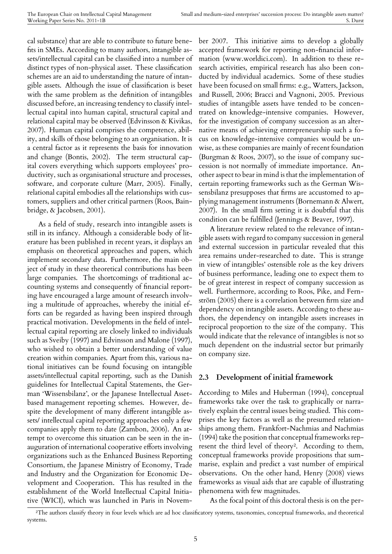cal substance) that are able to contribute to future benefits in SMEs. According to many authors, intangible assets/intellectual capital can be classified into a number of distinct types of non-physical asset. These classification schemes are an aid to understanding the nature of intangible assets. Although the issue of classification is beset with the same problem as the definition of intangibles discussed before, an increasing tendency to classify intellectual capital into human capital, structural capital and relational capital may be observed (Edvinsson & Kivikas, 2007). Human capital comprises the competence, ability, and skills of those belonging to an organisation. It is a central factor as it represents the basis for innovation and change (Bontis, 2002). The term structural capital covers everything which supports employees' productivity, such as organisational structure and processes, software, and corporate culture (Marr, 2005). Finally, relational capital embodies all the relationships with customers, suppliers and other critical partners (Roos, Bainbridge, & Jacobsen, 2001).

As a field of study, research into intangible assets is still in its infancy. Although a considerable body of literature has been published in recent years, it displays an emphasis on theoretical approaches and papers, which implement secondary data. Furthermore, the main object of study in these theoretical contributions has been large companies. The shortcomings of traditional accounting systems and consequently of financial reporting have encouraged a large amount of research involving a multitude of approaches, whereby the initial efforts can be regarded as having been inspired through practical motivation. Developments in the field of intellectual capital reporting are closely linked to individuals such as Sveiby (1997) and Edvinsson and Malone (1997), who wished to obtain a better understanding of value creation within companies. Apart from this, various national initiatives can be found focusing on intangible assets/intellectual capital reporting, such as the Danish guidelines for Intellectual Capital Statements, the German 'Wissensbilanz', or the Japanese Intellectual Assetbased management reporting schemes. However, despite the development of many different intangible assets/ intellectual capital reporting approaches only a few companies apply them to date (Zambon, 2006). An attempt to overcome this situation can be seen in the inauguration of international cooperative efforts involving organizations such as the Enhanced Business Reporting Consortium, the Japanese Ministry of Economy, Trade and Industry and the Organization for Economic Development and Cooperation. This has resulted in the establishment of the World Intellectual Capital Initiative (WICI), which was launched in Paris in Novem-

ber 2007. This initiative aims to develop a globally accepted framework for reporting non-financial information (www.worldici.com). In addition to these research activities, empirical research has also been conducted by individual academics. Some of these studies have been focused on small firms: e.g., Watters, Jackson, and Russell, 2006; Bracci and Vagnoni, 2005. Previous studies of intangible assets have tended to be concentrated on knowledge-intensive companies. However, for the investigation of company succession as an alternative means of achieving entrepreneurship such a focus on knowledge-intensive companies would be unwise, as these companies are mainly of recent foundation (Burgman & Roos, 2007), so the issue of company succession is not normally of immediate importance. Another aspect to bear in mind is that the implementation of certain reporting frameworks such as the German Wissensbilanz presupposes that firms are accustomed to applying management instruments (Bornemann & Alwert, 2007). In the small firm setting it is doubtful that this condition can be fulfilled (Jennings & Beaver, 1997).

A literature review related to the relevance of intangible assets with regard to company succession in general and external succession in particular revealed that this area remains under-researched to date. This is strange in view of intangibles' ostensible role as the key drivers of business performance, leading one to expect them to be of great interest in respect of company succession as well. Furthermore, according to Roos, Pike, and Fernström (2005) there is a correlation between firm size and dependency on intangible assets. According to these authors, the dependency on intangible assets increases in reciprocal proportion to the size of the company. This would indicate that the relevance of intangibles is not so much dependent on the industrial sector but primarily on company size.

#### **2.3 Development of initial framework**

According to Miles and Huberman (1994), conceptual frameworks take over the task to graphically or narratively explain the central issues being studied. This comprises the key factors as well as the presumed relationships among them. Frankfort-Nachmias and Nachmias (1994) take the position that conceptual frameworks represent the third level of theory². According to them, conceptual frameworks provide propositions that summarise, explain and predict a vast number of empirical observations. On the other ha[nd](#page-5-0), Henry (2008) views frameworks as visual aids that are capable of illustrating phenomena with few magnitudes.

As the focal point of this doctoral thesis is on the per-

<span id="page-5-0"></span>²The authors classify theory in four levels which are ad hoc classificatory systems, taxonomies, conceptual frameworks, and theoretical systems.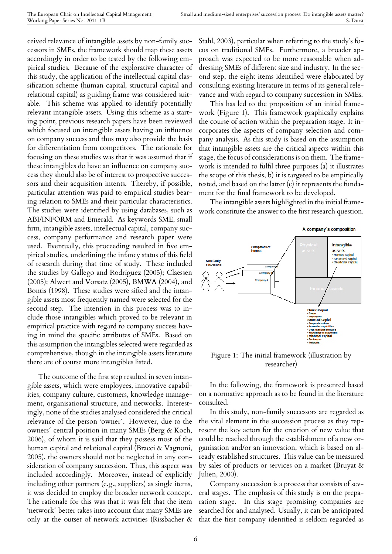ceived relevance of intangible assets by non-family successors in SMEs, the framework should map these assets accordingly in order to be tested by the following empirical studies. Because of the explorative character of this study, the application of the intellectual capital classification scheme (human capital, structural capital and relational capital) as guiding frame was considered suitable. This scheme was applied to identify potentially relevant intangible assets. Using this scheme as a starting point, previous research papers have been reviewed which focused on intangible assets having an influence on company success and thus may also provide the basis for differentiation from competitors. The rationale for focusing on these studies was that it was assumed that if these intangibles do have an influence on company success they should also be of interest to prospective successors and their acquisition intents. Thereby, if possible, particular attention was paid to empirical studies bearing relation to SMEs and their particular characteristics. The studies were identified by using databases, such as ABI/INFORM and Emerald. As keywords SME, small firm, intangible assets, intellectual capital, company success, company performance and research paper were used. Eventually, this proceeding resulted in five empirical studies, underlining the infancy status of this field of research during that time of study. These included the studies by Gallego and Rodríguez (2005); Claessen (2005); Alwert and Vorsatz (2005), BMWA (2004), and Bontis (1998). These studies were sifted and the intangible assets most frequently named were selected for the second step. The intention in this process was to include those intangibles which proved to be relevant in empirical practice with regard to company success having in mind the specific attributes of SMEs. Based on this assumption the intangibles selected were regarded as comprehensive, though in the intangible assets literature there are of course more intangibles listed.

The outcome of the first step resulted in seven intangible assets, which were employees, innovative capabilities, company culture, customers, knowledge management, organisational structure, and networks. Interestingly, none of the studies analysed considered the critical relevance of the person 'owner´. However, due to the owners´ central position in many SMEs (Berg & Koch, 2006), of whom it is said that they possess most of the human capital and relational capital (Bracci & Vagnoni, 2005), the owners should not be neglected in any consideration of company succession. Thus, this aspect was included accordingly. Moreover, instead of explicitly including other partners (e.g., suppliers) as single items, it was decided to employ the broader network concept. The rationale for this was that it was felt that the item 'network´ better takes into account that many SMEs are only at the outset of network activities (Rissbacher &

Stahl, 2003), particular when referring to the study's focus on traditional SMEs. Furthermore, a broader approach was expected to be more reasonable when addressing SMEs of different size and industry. In the second step, the eight items identified were elaborated by consulting existing literature in terms of its general relevance and with regard to company succession in SMEs.

This has led to the proposition of an initial framework (Figure 1). This framework graphically explains the course of action within the preparation stage. It incorporates the aspects of company selection and company analysis. As this study is based on the assumption that intangible assets are the critical aspects within this stage, the focus of considerations is on them. The framework is intended to fulfil three purposes (a) it illustrates the scope of this thesis, b) it is targeted to be empirically tested, and based on the latter (c) it represents the fundament for the final framework to be developed.

The intangible assets highlighted in the initial framework constitute the answer to the first research question.



Figure 1: The initial framework (illustration by researcher)

In the following, the framework is presented based on a normative approach as to be found in the literature consulted.

In this study, non-family successors are regarded as the vital element in the succession process as they represent the key actors for the creation of new value that could be reached through the establishment of a new organisation and/or an innovation, which is based on already established structures. This value can be measured by sales of products or services on a market (Bruyat & Julien, 2000).

Company succession is a process that consists of several stages. The emphasis of this study is on the preparation stage. In this stage promising companies are searched for and analysed. Usually, it can be anticipated that the first company identified is seldom regarded as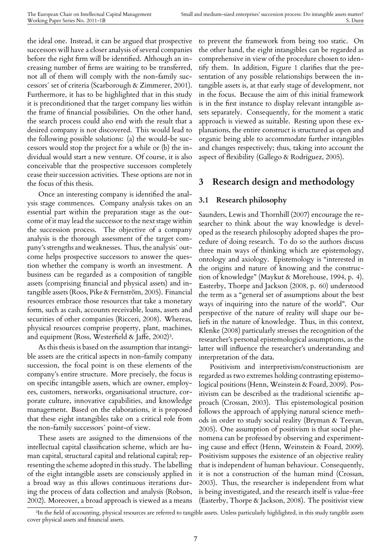the ideal one. Instead, it can be argued that prospective successors will have a closer analysis of several companies before the right firm will be identified. Although an increasing number of firms are waiting to be transferred, not all of them will comply with the non-family successors´ set of criteria (Scarborough & Zimmerer, 2001). Furthermore, it has to be highlighted that in this study it is preconditioned that the target company lies within the frame of financial possibilities. On the other hand, the search process could also end with the result that a desired company is not discovered. This would lead to the following possible solutions: (a) the would-be successors would stop the project for a while or (b) the individual would start a new venture. Of course, it is also conceivable that the prospective successors completely cease their succession activities. These options are not in the focus of this thesis.

Once an interesting company is identified the analysis stage commences. Company analysis takes on an essential part within the preparation stage as the outcome of it may lead the successor to the next stage within the succession process. The objective of a company analysis is the thorough assessment of the target company's strengths and weaknesses. Thus, the analysis´ outcome helps prospective successors to answer the question whether the company is worth an investment. A business can be regarded as a composition of tangible assets (comprising financial and physical assets) and intangible assets (Roos, Pike & Fernström, 2005). Financial resources embrace those resources that take a monetary form, such as cash, accounts receivable, loans, assets and securities of other companies (Ricceri, 2008). Whereas, physical resources comprise property, plant, machines, and equipment (Ross, Westerfield & Jaffe,  $2002$ )<sup>3</sup>.

As this thesis is based on the assumption that intangible assets are the critical aspects in non-family company succession, the focal point is on these element[s](#page-7-0) of the company's entire structure. More precisely, the focus is on specific intangible assets, which are owner, employees, customers, networks, organisational structure, corporate culture, innovative capabilities, and knowledge management. Based on the elaborations, it is proposed that these eight intangibles take on a critical role from the non-family successors´ point-of view.

These assets are assigned to the dimensions of the intellectual capital classification scheme, which are human capital, structural capital and relational capital; representing the scheme adopted in this study. The labelling of the eight intangible assets are consciously applied in a broad way as this allows continuous iterations during the process of data collection and analysis (Robson, 2002). Moreover, a broad approach is viewed as a means to prevent the framework from being too static. On the other hand, the eight intangibles can be regarded as comprehensive in view of the procedure chosen to identify them. In addition, Figure 1 clarifies that the presentation of any possible relationships between the intangible assets is, at that early stage of development, not in the focus. Because the aim of this initial framework is in the first instance to display relevant intangible assets separately. Consequently, for the moment a static approach is viewed as suitable. Resting upon these explanations, the entire construct is structured as open and organic being able to accommodate further intangibles and changes respectively; thus, taking into account the aspect of flexibility (Gallego & Rodríguez, 2005).

#### **3 Research design and methodology**

#### **3.1 Research philosophy**

Saunders, Lewis and Thornhill (2007) encourage the researcher to think about the way knowledge is developed as the research philosophy adopted shapes the procedure of doing research. To do so the authors discuss three main ways of thinking which are epistemology, ontology and axiology. Epistemology is "interested in the origins and nature of knowing and the construction of knowledge" (Maykut & Morehouse, 1994, p. 4). Easterby, Thorpe and Jackson (2008, p. 60) understood the term as a "general set of assumptions about the best ways of inquiring into the nature of the world". Our perspective of the nature of reality will shape our beliefs in the nature of knowledge. Thus, in this context, Klenke (2008) particularly stresses the recognition of the researcher's personal epistemological assumptions, as the latter will influence the researcher's understanding and interpretation of the data.

Positivism and interpretivism/constructionism are regarded as two extremes holding contrasting epistemological positions (Henn, Weinstein & Foard, 2009). Positivism can be described as the traditional scientific approach (Crossan, 2003). This epistemological position follows the approach of applying natural science methods in order to study social reality (Bryman & Teevan, 2005). One assumption of positivism is that social phenomena can be professed by observing and experimenting cause and effect (Henn, Weinstein & Foard, 2009). Positivism supposes the existence of an objective reality that is independent of human behaviour. Consequently, it is not a construction of the human mind (Crossan, 2003). Thus, the researcher is independent from what is being investigated, and the research itself is value-free (Easterby, Thorpe & Jackson, 2008). The positivist view

<span id="page-7-0"></span><sup>&</sup>lt;sup>3</sup>In the field of accounting, physical resources are referred to tangible assets. Unless particularly highlighted, in this study tangible assets cover physical assets and financial assets.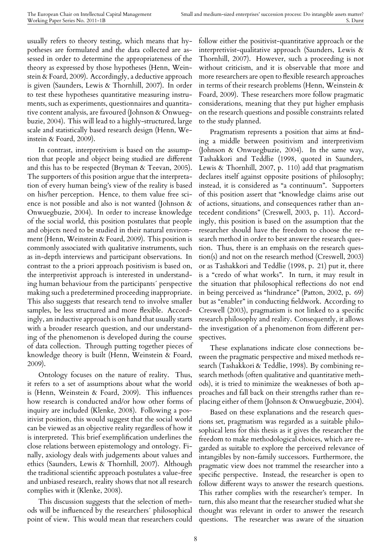usually refers to theory testing, which means that hypotheses are formulated and the data collected are assessed in order to determine the appropriateness of the theory as expressed by those hypotheses (Henn, Weinstein & Foard, 2009). Accordingly, a deductive approach is given (Saunders, Lewis & Thornhill, 2007). In order to test these hypotheses quantitative measuring instruments, such as experiments, questionnaires and quantitative content analysis, are favoured (Johnson & Onwuegbuzie, 2004). This will lead to a highly-structured, large scale and statistically based research design (Henn, Weinstein & Foard, 2009).

In contrast, interpretivism is based on the assumption that people and object being studied are different and this has to be respected (Bryman & Teevan, 2005). The supporters of this position argue that the interpretation of every human being's view of the reality is based on his/her perception. Hence, to them value free science is not possible and also is not wanted (Johnson & Onwuegbuzie, 2004). In order to increase knowledge of the social world, this position postulates that people and objects need to be studied in their natural environment (Henn, Weinstein & Foard, 2009). This position is commonly associated with qualitative instruments, such as in-depth interviews and participant observations. In contrast to the a priori approach positivism is based on, the interpretivist approach is interested in understanding human behaviour from the participants´ perspective making such a predetermined proceeding inappropriate. This also suggests that research tend to involve smaller samples, be less structured and more flexible. Accordingly, an inductive approach is on hand that usually starts with a broader research question, and our understanding of the phenomenon is developed during the course of data collection. Through putting together pieces of knowledge theory is built (Henn, Weinstein & Foard, 2009).

Ontology focuses on the nature of reality. Thus, it refers to a set of assumptions about what the world is (Henn, Weinstein & Foard, 2009). This influences how research is conducted and/or how other forms of inquiry are included (Klenke, 2008). Following a positivist position, this would suggest that the social world can be viewed as an objective reality regardless of how it is interpreted. This brief exemplification underlines the close relations between epistemology and ontology. Finally, axiology deals with judgements about values and ethics (Saunders, Lewis & Thornhill, 2007). Although the traditional scientific approach postulates a value-free and unbiased research, reality shows that not all research complies with it (Klenke, 2008).

This discussion suggests that the selection of methods will be influenced by the researchers´ philosophical point of view. This would mean that researchers could follow either the positivist-quantitative approach or the interpretivist-qualitative approach (Saunders, Lewis & Thornhill, 2007). However, such a proceeding is not without criticism, and it is observable that more and more researchers are open to flexible research approaches in terms of their research problems (Henn, Weinstein & Foard, 2009). These researchers more follow pragmatic considerations, meaning that they put higher emphasis on the research questions and possible constraints related to the study planned.

Pragmatism represents a position that aims at finding a middle between positivism and interpretivism (Johnson & Onwuegbuzie, 2004). In the same way, Tashakkori and Teddlie (1998, quoted in Saunders, Lewis & Thornhill, 2007, p. 110) add that pragmatism declares itself against opposite positions of philosophy; instead, it is considered as "a continuum". Supporters of this position assert that "knowledge claims arise out of actions, situations, and consequences rather than antecedent conditions" (Creswell, 2003, p. 11). Accordingly, this position is based on the assumption that the researcher should have the freedom to choose the research method in order to best answer the research question. Thus, there is an emphasis on the research question(s) and not on the research method (Creswell, 2003) or as Tashakkori and Teddlie (1998, p. 21) put it, there is a "credo of what works". In turn, it may result in the situation that philosophical reflections do not end in being perceived as "hindrance" (Patton, 2002, p. 69) but as "enabler" in conducting fieldwork. According to Creswell (2003), pragmatism is not linked to a specific research philosophy and reality. Consequently, it allows the investigation of a phenomenon from different perspectives.

These explanations indicate close connections between the pragmatic perspective and mixed methods research (Tashakkori & Teddlie, 1998). By combining research methods (often qualitative and quantitative methods), it is tried to minimize the weaknesses of both approaches and fall back on their strengths rather than replacing either of them (Johnson & Onwuegbuzie, 2004).

Based on these explanations and the research questions set, pragmatism was regarded as a suitable philosophical lens for this thesis as it gives the researcher the freedom to make methodological choices, which are regarded as suitable to explore the perceived relevance of intangibles by non-family successors. Furthermore, the pragmatic view does not trammel the researcher into a specific perspective. Instead, the researcher is open to follow different ways to answer the research questions. This rather complies with the researcher's temper. In turn, this also meant that the researcher studied what she thought was relevant in order to answer the research questions. The researcher was aware of the situation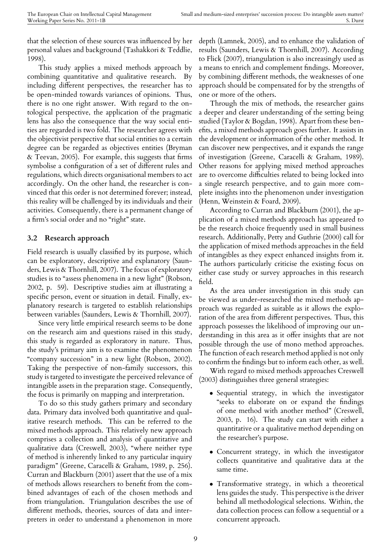that the selection of these sources was influenced by her personal values and background (Tashakkori & Teddlie, 1998).

This study applies a mixed methods approach by combining quantitative and qualitative research. By including different perspectives, the researcher has to be open-minded towards variances of opinions. Thus, there is no one right answer. With regard to the ontological perspective, the application of the pragmatic lens has also the consequence that the way social entities are regarded is two fold. The researcher agrees with the objectivist perspective that social entities to a certain degree can be regarded as objectives entities (Bryman & Teevan, 2005). For example, this suggests that firms symbolise a configuration of a set of different rules and regulations, which directs organisational members to act accordingly. On the other hand, the researcher is convinced that this order is not determined forever; instead, this reality will be challenged by its individuals and their activities. Consequently, there is a permanent change of a firm's social order and no "right" state.

#### **3.2 Research approach**

Field research is usually classified by its purpose, which can be exploratory, descriptive and explanatory (Saunders, Lewis & Thornhill, 2007). The focus of exploratory studies is to "assess phenomena in a new light" (Robson, 2002, p. 59). Descriptive studies aim at illustrating a specific person, event or situation in detail. Finally, explanatory research is targeted to establish relationships between variables (Saunders, Lewis & Thornhill, 2007).

Since very little empirical research seems to be done on the research aim and questions raised in this study, this study is regarded as exploratory in nature. Thus, the study's primary aim is to examine the phenomenon "company succession" in a new light (Robson, 2002). Taking the perspective of non-family successors, this study is targeted to investigate the perceived relevance of intangible assets in the preparation stage. Consequently, the focus is primarily on mapping and interpretation.

To do so this study gathers primary and secondary data. Primary data involved both quantitative and qualitative research methods. This can be referred to the mixed methods approach. This relatively new approach comprises a collection and analysis of quantitative and qualitative data (Creswell, 2003), "where neither type of method is inherently linked to any particular inquiry paradigm" (Greene, Caracelli & Graham, 1989, p. 256). Curran and Blackburn (2001) assert that the use of a mix of methods allows researchers to benefit from the combined advantages of each of the chosen methods and from triangulation. Triangulation describes the use of different methods, theories, sources of data and interpreters in order to understand a phenomenon in more

depth (Lamnek, 2005), and to enhance the validation of results (Saunders, Lewis & Thornhill, 2007). According to Flick (2007), triangulation is also increasingly used as a means to enrich and complement findings. Moreover, by combining different methods, the weaknesses of one approach should be compensated for by the strengths of one or more of the others.

Through the mix of methods, the researcher gains a deeper and clearer understanding of the setting being studied (Taylor & Bogdan, 1998). Apart from these benefits, a mixed methods approach goes further. It assists in the development or information of the other method. It can discover new perspectives, and it expands the range of investigation (Greene, Caracelli & Graham, 1989). Other reasons for applying mixed method approaches are to overcome difficulties related to being locked into a single research perspective, and to gain more complete insights into the phenomenon under investigation (Henn, Weinstein & Foard, 2009).

According to Curran and Blackburn (2001), the application of a mixed methods approach has appeared to be the research choice frequently used in small business research. Additionally, Petty and Guthrie (2000) call for the application of mixed methods approaches in the field of intangibles as they expect enhanced insights from it. The authors particularly criticise the existing focus on either case study or survey approaches in this research field.

As the area under investigation in this study can be viewed as under-researched the mixed methods approach was regarded as suitable as it allows the exploration of the area from different perspectives. Thus, this approach possesses the likelihood of improving our understanding in this area as it offer insights that are not possible through the use of mono method approaches. The function of each research method applied is not only to confirm the findings but to inform each other, as well.

With regard to mixed methods approaches Creswell (2003) distinguishes three general strategies:

- Sequential strategy, in which the investigator "seeks to elaborate on or expand the findings of one method with another method" (Creswell, 2003, p. 16). The study can start with either a quantitative or a qualitative method depending on the researcher's purpose.
- *•* Concurrent strategy, in which the investigator collects quantitative and qualitative data at the same time.
- *•* Transformative strategy, in which a theoretical lens guides the study. This perspective is the driver behind all methodological selections. Within, the data collection process can follow a sequential or a concurrent approach.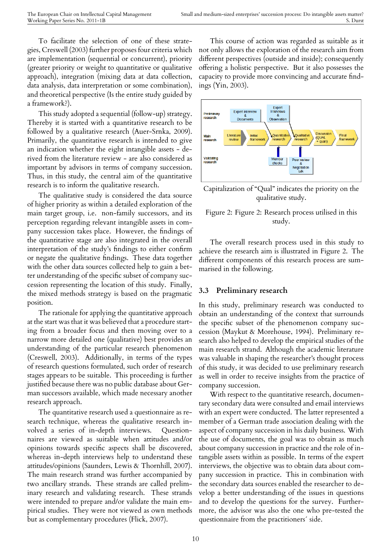To facilitate the selection of one of these strategies, Creswell (2003) further proposes four criteria which are implementation (sequential or concurrent), priority (greater priority or weight to quantitative or qualitative approach), integration (mixing data at data collection, data analysis, data interpretation or some combination), and theoretical perspective (Is the entire study guided by a framework?).

This study adopted a sequential (follow-up) strategy. Thereby it is started with a quantitative research to be followed by a qualitative research (Auer-Srnka, 2009). Primarily, the quantitative research is intended to give an indication whether the eight intangible assets - derived from the literature review - are also considered as important by advisors in terms of company succession. Thus, in this study, the central aim of the quantitative research is to inform the qualitative research.

The qualitative study is considered the data source of higher priority as within a detailed exploration of the main target group, i.e. non-family successors, and its perception regarding relevant intangible assets in company succession takes place. However, the findings of the quantitative stage are also integrated in the overall interpretation of the study's findings to either confirm or negate the qualitative findings. These data together with the other data sources collected help to gain a better understanding of the specific subset of company succession representing the location of this study. Finally, the mixed methods strategy is based on the pragmatic position.

The rationale for applying the quantitative approach at the start was that it was believed that a procedure starting from a broader focus and then moving over to a narrow more detailed one (qualitative) best provides an understanding of the particular research phenomenon (Creswell, 2003). Additionally, in terms of the types of research questions formulated, such order of research stages appears to be suitable. This proceeding is further justified because there was no public database about German successors available, which made necessary another research approach.

The quantitative research used a questionnaire as research technique, whereas the qualitative research involved a series of in-depth interviews. Questionnaires are viewed as suitable when attitudes and/or opinions towards specific aspects shall be discovered, whereas in-depth interviews help to understand these attitudes/opinions (Saunders, Lewis & Thornhill, 2007). The main research strand was further accompanied by two ancillary strands. These strands are called preliminary research and validating research. These strands were intended to prepare and/or validate the main empirical studies. They were not viewed as own methods but as complementary procedures (Flick, 2007).

This course of action was regarded as suitable as it not only allows the exploration of the research aim from different perspectives (outside and inside); consequently offering a holistic perspective. But it also possesses the capacity to provide more convincing and accurate findings (Yin, 2003).



Capitalization of "Qual" indicates the priority on the qualitative study.

#### Figure 2: Figure 2: Research process utilised in this study.

The overall research process used in this study to achieve the research aim is illustrated in Figure 2. The different components of this research process are summarised in the following.

#### **3.3 Preliminary research**

In this study, preliminary research was conducted to obtain an understanding of the context that surrounds the specific subset of the phenomenon company succession (Maykut & Morehouse, 1994). Preliminary research also helped to develop the empirical studies of the main research strand. Although the academic literature was valuable in shaping the researcher's thought process of this study, it was decided to use preliminary research as well in order to receive insights from the practice of company succession.

With respect to the quantitative research, documentary secondary data were consulted and email interviews with an expert were conducted. The latter represented a member of a German trade association dealing with the aspect of company succession in his daily business. With the use of documents, the goal was to obtain as much about company succession in practice and the role of intangible assets within as possible. In terms of the expert interviews, the objective was to obtain data about company succession in practice. This in combination with the secondary data sources enabled the researcher to develop a better understanding of the issues in questions and to develop the questions for the survey. Furthermore, the advisor was also the one who pre-tested the questionnaire from the practitioners´ side.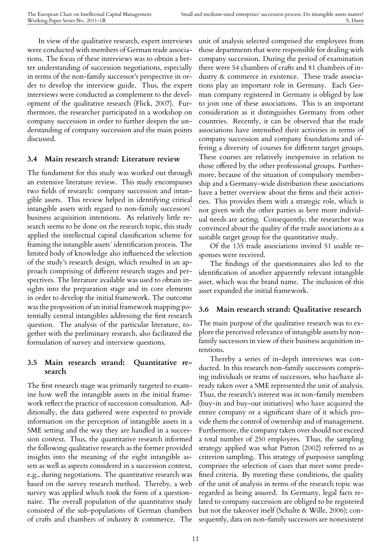In view of the qualitative research, expert interviews were conducted with members of German trade associations. The focus of these interviews was to obtain a better understanding of succession negotiations, especially in terms of the non-family successor's perspective in order to develop the interview guide. Thus, the expert interviews were conducted as complement to the development of the qualitative research (Flick, 2007). Furthermore, the researcher participated in a workshop on company succession in order to further deepen the understanding of company succession and the main points discussed.

#### **3.4 Main research strand: Literature review**

The fundament for this study was worked out through an extensive literature review. This study encompasses two fields of research: company succession and intangible assets. This review helped in identifying critical intangible assets with regard to non-family successors´ business acquisition intentions. As relatively little research seems to be done on the research topic, this study applied the intellectual capital classification scheme for framing the intangible assets´ identification process. The limited body of knowledge also influenced the selection of the study's research design, which resulted in an approach comprising of different research stages and perspectives. The literature available was used to obtain insights into the preparation stage and its core elements in order to develop the initial framework. The outcome was the proposition of an initial framework mapping potentially central intangibles addressing the first research question. The analysis of the particular literature, together with the preliminary research, also facilitated the formulation of survey and interview questions.

#### **3.5 Main research strand: Quantitative research**

The first research stage was primarily targeted to examine how well the intangible assets in the initial framework reflect the practice of succession consultation. Additionally, the data gathered were expected to provide information on the perception of intangible assets in a SME setting and the way they are handled in a succession context. Thus, the quantitative research informed the following qualitative research as the former provided insights into the meaning of the eight intangible assets as well as aspects considered in a succession context, e.g., during negotiations. The quantitative research was based on the survey research method. Thereby, a web survey was applied which took the form of a questionnaire. The overall population of the quantitative study consisted of the sub-populations of German chambers of crafts and chambers of industry & commerce. The

unit of analysis selected comprised the employees from those departments that were responsible for dealing with company succession. During the period of examination there were 54 chambers of crafts and 81 chambers of industry & commerce in existence. These trade associations play an important role in Germany. Each German company registered in Germany is obliged by law to join one of these associations. This is an important consideration as it distinguishes Germany from other countries. Recently, it can be observed that the trade associations have intensified their activities in terms of company succession and company foundations and offering a diversity of courses for different target groups. These courses are relatively inexpensive in relation to those offered by the other professional groups. Furthermore, because of the situation of compulsory membership and a Germany-wide distribution these associations have a better overview about the firms and their activities. This provides them with a strategic role, which is not given with the other parties as here more individual needs are acting. Consequently, the researcher was convinced about the quality of the trade associations as a suitable target group for the quantitative study.

Of the 135 trade associations invited 51 usable responses were received.

The findings of the questionnaires also led to the identification of another apparently relevant intangible asset, which was the brand name. The inclusion of this asset expanded the initial framework.

#### **3.6 Main research strand: Qualitative research**

The main purpose of the qualitative research was to explore the perceived relevance of intangible assets by nonfamily successors in view of their business acquisition intentions.

Thereby a series of in-depth interviews was conducted. In this research non-family successors comprising individuals or teams of successors, who has/have already taken over a SME represented the unit of analysis. Thus, the research's interest was in non-family members (buy-in and buy-out initiatives) who have acquired the entire company or a significant share of it which provide them the control of ownership and of management. Furthermore, the company taken over should not exceed a total number of 250 employees. Thus, the sampling strategy applied was what Patton (2002) referred to as criterion sampling. This strategy of purposive sampling comprises the selection of cases that meet some predefined criteria. By meeting these conditions, the quality of the unit of analysis in terms of the research topic was regarded as being assured. In Germany, legal facts related to company succession are obliged to be registered but not the takeover itself (Schulte & Wille, 2006); consequently, data on non-family successors are nonexistent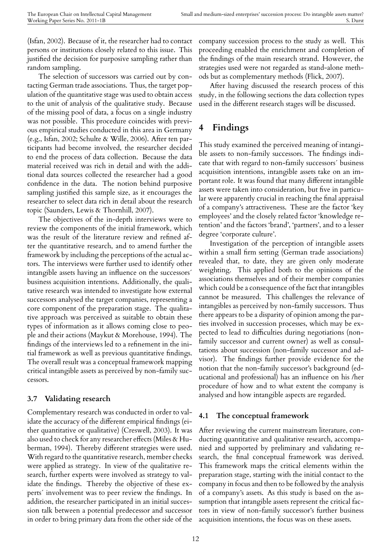(Isfan, 2002). Because of it, the researcher had to contact persons or institutions closely related to this issue. This justified the decision for purposive sampling rather than random sampling.

The selection of successors was carried out by contacting German trade associations. Thus, the target population of the quantitative stage was used to obtain access to the unit of analysis of the qualitative study. Because of the missing pool of data, a focus on a single industry was not possible. This procedure coincides with previous empirical studies conducted in this area in Germany (e.g., Isfan, 2002; Schulte & Wille, 2006). After ten participants had become involved, the researcher decided to end the process of data collection. Because the data material received was rich in detail and with the additional data sources collected the researcher had a good confidence in the data. The notion behind purposive sampling justified this sample size, as it encourages the researcher to select data rich in detail about the research topic (Saunders, Lewis & Thornhill, 2007).

The objectives of the in-depth interviews were to review the components of the initial framework, which was the result of the literature review and refined after the quantitative research, and to amend further the framework by including the perceptions of the actual actors. The interviews were further used to identify other intangible assets having an influence on the successors´ business acquisition intentions. Additionally, the qualitative research was intended to investigate how external successors analysed the target companies, representing a core component of the preparation stage. The qualitative approach was perceived as suitable to obtain these types of information as it allows coming close to people and their actions (Maykut & Morehouse, 1994). The findings of the interviews led to a refinement in the initial framework as well as previous quantitative findings. The overall result was a conceptual framework mapping critical intangible assets as perceived by non-family successors.

#### **3.7 Validating research**

Complementary research was conducted in order to validate the accuracy of the different empirical findings (either quantitative or qualitative) (Creswell, 2003). It was also used to check for any researcher effects (Miles & Huberman, 1994). Thereby different strategies were used. With regard to the quantitative research, member checks were applied as strategy. In view of the qualitative research, further experts were involved as strategy to validate the findings. Thereby the objective of these experts´ involvement was to peer review the findings. In addition, the researcher participated in an initial succession talk between a potential predecessor and successor in order to bring primary data from the other side of the

company succession process to the study as well. This proceeding enabled the enrichment and completion of the findings of the main research strand. However, the strategies used were not regarded as stand-alone methods but as complementary methods (Flick, 2007).

After having discussed the research process of this study, in the following sections the data collection types used in the different research stages will be discussed.

# **4 Findings**

This study examined the perceived meaning of intangible assets to non-family successors. The findings indicate that with regard to non-family successors´ business acquisition intentions, intangible assets take on an important role. It was found that many different intangible assets were taken into consideration, but five in particular were apparently crucial in reaching the final appraisal of a company's attractiveness. These are the factor 'key employees' and the closely related factor 'knowledge retention' and the factors 'brand', 'partners', and to a lesser degree 'corporate culture'.

Investigation of the perception of intangible assets within a small firm setting (German trade associations) revealed that, to date, they are given only moderate weighting. This applied both to the opinions of the associations themselves and of their member companies which could be a consequence of the fact that intangibles cannot be measured. This challenges the relevance of intangibles as perceived by non-family successors. Thus there appears to be a disparity of opinion among the parties involved in succession processes, which may be expected to lead to difficulties during negotiations (nonfamily successor and current owner) as well as consultations about succession (non-family successor and advisor). The findings further provide evidence for the notion that the non-family successor's background (educational and professional) has an influence on his /her procedure of how and to what extent the company is analysed and how intangible aspects are regarded.

#### **4.1 The conceptual framework**

After reviewing the current mainstream literature, conducting quantitative and qualitative research, accompanied and supported by preliminary and validating research, the final conceptual framework was derived. This framework maps the critical elements within the preparation stage, starting with the initial contact to the company in focus and then to be followed by the analysis of a company's assets. As this study is based on the assumption that intangible assets represent the critical factors in view of non-family successor's further business acquisition intentions, the focus was on these assets.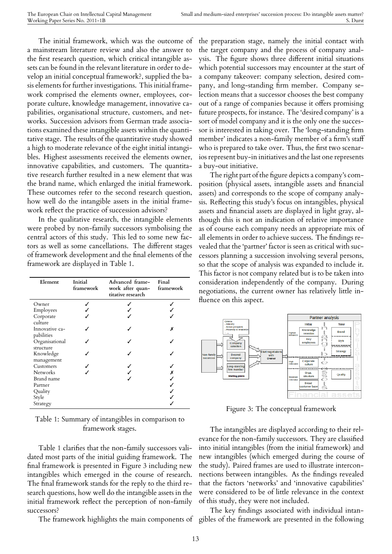The initial framework, which was the outcome of a mainstream literature review and also the answer to the first research question, which critical intangible assets can be found in the relevant literature in order to develop an initial conceptual framework?, supplied the basis elements for further investigations. This initial framework comprised the elements owner, employees, corporate culture, knowledge management, innovative capabilities, organisational structure, customers, and networks. Succession advisors from German trade associations examined these intangible assets within the quantitative stage. The results of the quantitative study showed a high to moderate relevance of the eight initial intangibles. Highest assessments received the elements owner, innovative capabilities, and customers. The quantitative research further resulted in a new element that was the brand name, which enlarged the initial framework. These outcomes refer to the second research question, how well do the intangible assets in the initial framework reflect the practice of succession advisors?

In the qualitative research, the intangible elements were probed by non-family successors symbolising the central actors of this study. This led to some new factors as well as some cancellations. The different stages of framework development and the final elements of the framework are displayed in Table 1.

| Element        | Initial<br>framework | Advanced frame-<br>work after quan- framework<br>titative research | Final |
|----------------|----------------------|--------------------------------------------------------------------|-------|
| Owner          |                      |                                                                    |       |
| Employees      |                      |                                                                    |       |
| Corporate      |                      |                                                                    |       |
| culture        |                      |                                                                    |       |
| Innovative ca- |                      |                                                                    | Х     |
| pabilities     |                      |                                                                    |       |
| Organisational |                      |                                                                    |       |
| structure      |                      |                                                                    |       |
| Knowledge      |                      |                                                                    |       |
| management     |                      |                                                                    |       |
| Customers      |                      |                                                                    |       |
| Networks       |                      |                                                                    |       |
| Brand name     |                      |                                                                    |       |
| Partner        |                      |                                                                    |       |
| Quality        |                      |                                                                    |       |
| Style          |                      |                                                                    |       |
| Strategy       |                      |                                                                    |       |

Table 1: Summary of intangibles in comparison to framework stages.

Table 1 clarifies that the non-family successors validated most parts of the initial guiding framework. The final framework is presented in Figure 3 including new intangibles which emerged in the course of research. The final framework stands for the reply to the third research questions, how well do the intangible assets in the initial framework reflect the perception of non-family successors?

the preparation stage, namely the initial contact with the target company and the process of company analysis. The figure shows three different initial situations which potential successors may encounter at the start of a company takeover: company selection, desired company, and long-standing firm member. Company selection means that a successor chooses the best company out of a range of companies because it offers promising future prospects, for instance. The 'desired company' is a sort of model company and it is the only one the successor is interested in taking over. The 'long-standing firm member' indicates a non-family member of a firm's staff who is prepared to take over. Thus, the first two scenarios represent buy-in initiatives and the last one represents a buy-out initiative.

The right part of the figure depicts a company's composition (physical assets, intangible assets and financial assets) and corresponds to the scope of company analysis. Reflecting this study's focus on intangibles, physical assets and financial assets are displayed in light gray, although this is not an indication of relative importance as of course each company needs an appropriate mix of all elements in order to achieve success. The findings revealed that the 'partner' factor is seen as critical with successors planning a succession involving several persons, so that the scope of analysis was expanded to include it. This factor is not company related but is to be taken into consideration independently of the company. During negotiations, the current owner has relatively little influence on this aspect.



Figure 3: The conceptual framework

The intangibles are displayed according to their relevance for the non-family successors. They are classified into initial intangibles (from the initial framework) and new intangibles (which emerged during the course of the study). Paired frames are used to illustrate interconnections between intangibles. As the findings revealed that the factors 'networks' and 'innovative capabilities' were considered to be of little relevance in the context of this study, they were not included.

The framework highlights the main components of gibles of the framework are presented in the following The key findings associated with individual intan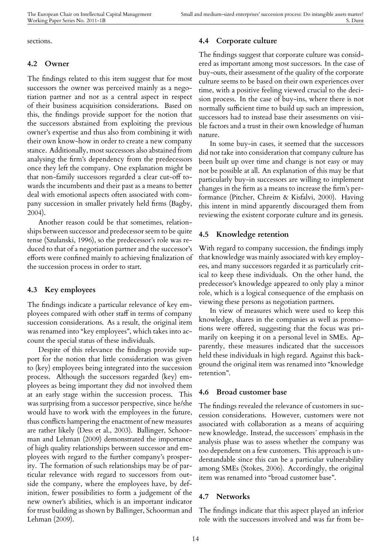sections.

#### **4.2 Owner**

The findings related to this item suggest that for most successors the owner was perceived mainly as a negotiation partner and not as a central aspect in respect of their business acquisition considerations. Based on this, the findings provide support for the notion that the successors abstained from exploiting the previous owner's expertise and thus also from combining it with their own know-how in order to create a new company stance. Additionally, most successors also abstained from analysing the firm's dependency from the predecessors once they left the company. One explanation might be that non-family successors regarded a clear cut-off towards the incumbents and their past as a means to better deal with emotional aspects often associated with company succession in smaller privately held firms (Bagby, 2004).

Another reason could be that sometimes, relationships between successor and predecessor seem to be quite tense (Szulanski, 1996), so the predecessor's role was reduced to that of a negotiation partner and the successor's efforts were confined mainly to achieving finalization of the succession process in order to start.

#### **4.3 Key employees**

The findings indicate a particular relevance of key employees compared with other staff in terms of company succession considerations. As a result, the original item was renamed into "key employees", which takes into account the special status of these individuals.

Despite of this relevance the findings provide support for the notion that little consideration was given to (key) employees being integrated into the succession process. Although the successors regarded (key) employees as being important they did not involved them at an early stage within the succession process. This was surprising from a successor perspective, since he/she would have to work with the employees in the future, thus conflicts hampering the enactment of new measures are rather likely (Dess et al., 2003). Ballinger, Schoorman and Lehman (2009) demonstrated the importance of high quality relationships between successor and employees with regard to the further company's prosperity. The formation of such relationships may be of particular relevance with regard to successors from outside the company, where the employees have, by definition, fewer possibilities to form a judgement of the new owner's abilities, which is an important indicator for trust building as shown by Ballinger, Schoorman and Lehman (2009).

#### **4.4 Corporate culture**

The findings suggest that corporate culture was considered as important among most successors. In the case of buy-outs, their assessment of the quality of the corporate culture seems to be based on their own experiences over time, with a positive feeling viewed crucial to the decision process. In the case of buy-ins, where there is not normally sufficient time to build up such an impression, successors had to instead base their assessments on visible factors and a trust in their own knowledge of human nature.

In some buy-in cases, it seemed that the successors did not take into consideration that company culture has been built up over time and change is not easy or may not be possible at all. An explanation of this may be that particularly buy-in successors are willing to implement changes in the firm as a means to increase the firm's performance (Pitcher, Chreim & Kisfalvi, 2000). Having this intent in mind apparently discouraged them from reviewing the existent corporate culture and its genesis.

#### **4.5 Knowledge retention**

With regard to company succession, the findings imply that knowledge was mainly associated with key employees, and many successors regarded it as particularly critical to keep these individuals. On the other hand, the predecessor's knowledge appeared to only play a minor role, which is a logical consequence of the emphasis on viewing these persons as negotiation partners.

In view of measures which were used to keep this knowledge, shares in the companies as well as promotions were offered, suggesting that the focus was primarily on keeping it on a personal level in SMEs. Apparently, these measures indicated that the successors held these individuals in high regard. Against this background the original item was renamed into "knowledge retention".

#### **4.6 Broad customer base**

The findings revealed the relevance of customers in succession considerations. However, customers were not associated with collaboration as a means of acquiring new knowledge. Instead, the successors´ emphasis in the analysis phase was to assess whether the company was too dependent on a few customers. This approach is understandable since this can be a particular vulnerability among SMEs (Stokes, 2006). Accordingly, the original item was renamed into "broad customer base".

#### **4.7 Networks**

The findings indicate that this aspect played an inferior role with the successors involved and was far from be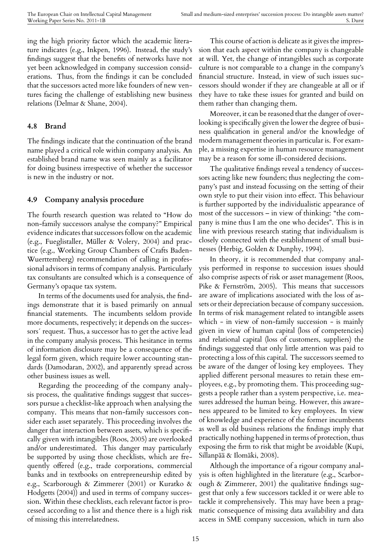ing the high priority factor which the academic literature indicates (e.g., Inkpen, 1996). Instead, the study's findings suggest that the benefits of networks have not yet been acknowledged in company succession considerations. Thus, from the findings it can be concluded that the successors acted more like founders of new ventures facing the challenge of establishing new business relations (Delmar & Shane, 2004).

#### **4.8 Brand**

The findings indicate that the continuation of the brand name played a critical role within company analysis. An established brand name was seen mainly as a facilitator for doing business irrespective of whether the successor is new in the industry or not.

#### **4.9 Company analysis procedure**

The fourth research question was related to "How do non-family successors analyse the company?" Empirical evidence indicates that successors follow on the academic (e.g., Fueglistaller, Müller & Volery, 2004) and practice (e.g., Working Group Chambers of Crafts Baden-Wuerttemberg) recommendation of calling in professional advisors in terms of company analysis. Particularly tax consultants are consulted which is a consequence of Germany's opaque tax system.

In terms of the documents used for analysis, the findings demonstrate that it is based primarily on annual financial statements. The incumbents seldom provide more documents, respectively; it depends on the successors´ request. Thus, a successor has to get the active lead in the company analysis process. This hesitance in terms of information disclosure may be a consequence of the legal form given, which require lower accounting standards (Damodaran, 2002), and apparently spread across other business issues as well.

Regarding the proceeding of the company analysis process, the qualitative findings suggest that successors pursue a checklist-like approach when analysing the company. This means that non-family successors consider each asset separately. This proceeding involves the danger that interaction between assets, which is specifically given with intangibles (Roos, 2005) are overlooked and/or underestimated. This danger may particularly be supported by using those checklists, which are frequently offered (e.g., trade corporations, commercial banks and in textbooks on entrepreneurship edited by e.g., Scarborough & Zimmerer (2001) or Kuratko & Hodgetts (2004)) and used in terms of company succession. Within these checklists, each relevant factor is processed according to a list and thence there is a high risk of missing this interrelatedness.

This course of action is delicate as it gives the impression that each aspect within the company is changeable at will. Yet, the change of intangibles such as corporate culture is not comparable to a change in the company's financial structure. Instead, in view of such issues successors should wonder if they are changeable at all or if they have to take these issues for granted and build on them rather than changing them.

Moreover, it can be reasoned that the danger of overlooking is specifically given the lower the degree of business qualification in general and/or the knowledge of modern management theories in particular is. For example, a missing expertise in human resource management may be a reason for some ill-considered decisions.

The qualitative findings reveal a tendency of successors acting like new founders; thus neglecting the company's past and instead focussing on the setting of their own style to put their vision into effect. This behaviour is further supported by the individualistic appearance of most of the successors – in view of thinking: "the company is mine thus I am the one who decides". This is in line with previous research stating that individualism is closely connected with the establishment of small businesses (Herbig, Golden & Dunphy, 1994).

In theory, it is recommended that company analysis performed in response to succession issues should also comprise aspects of risk or asset management (Roos, Pike & Fernström, 2005). This means that successors are aware of implications associated with the loss of assets or their depreciation because of company succession. In terms of risk management related to intangible assets which - in view of non-family succession - is mainly given in view of human capital (loss of competencies) and relational capital (loss of customers, suppliers) the findings suggested that only little attention was paid to protecting a loss of this capital. The successors seemed to be aware of the danger of losing key employees. They applied different personal measures to retain these employees, e.g., by promoting them. This proceeding suggests a people rather than a system perspective, i.e. measures addressed the human being. However, this awareness appeared to be limited to key employees. In view of knowledge and experience of the former incumbents as well as old business relations the findings imply that practically nothing happened in terms of protection, thus exposing the firm to risk that might be avoidable (Kupi, Sillanpää & Ilomäki, 2008).

Although the importance of a rigour company analysis is often highlighted in the literature (e.g., Scarborough & Zimmerer, 2001) the qualitative findings suggest that only a few successors tackled it or were able to tackle it comprehensively. This may have been a pragmatic consequence of missing data availability and data access in SME company succession, which in turn also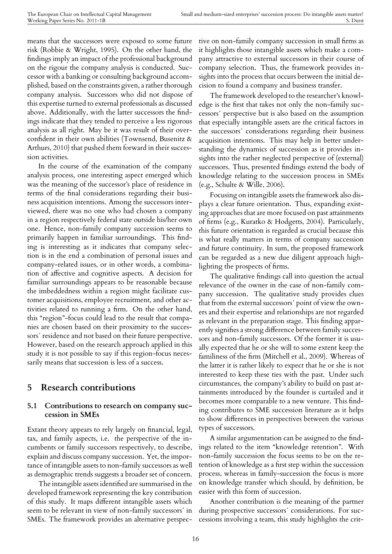means that the successors were exposed to some future risk (Robbie & Wright, 1995). On the other hand, the findings imply an impact of the professional background on the rigour the company analysis is conducted. Successor with a banking or consulting background accomplished, based on the constraints given, a rather thorough company analysis. Successors who did not dispose of this expertise turned to external professionals as discussed above. Additionally, with the latter successors the findings indicate that they tended to perceive a less rigorous analysis as all right. May be it was result of their overconfident in their own abilities (Townsend, Busenitz & Arthurs, 2010) that pushed them forward in their succession activities.

In the course of the examination of the company analysis process, one interesting aspect emerged which was the meaning of the successor's place of residence in terms of the final considerations regarding their business acquisition intentions. Among the successors interviewed, there was no one who had chosen a company in a region respectively federal state outside his/her own one. Hence, non-family company succession seems to primarily happen in familiar surroundings. This finding is interesting as it indicates that company selection is in the end a combination of personal issues and company-related issues, or in other words, a combination of affective and cognitive aspects. A decision for familiar surroundings appears to be reasonable because the imbeddedness within a region might facilitate customer acquisitions, employee recruitment, and other activities related to running a firm. On the other hand, this "region"-focus could lead to the result that companies are chosen based on their proximity to the successors´ residence and not based on their future perspective. However, based on the research approach applied in this study it is not possible to say if this region-focus necessarily means that succession is less of a success.

### **5 Research contributions**

#### **5.1 Contributions to research on company succession in SMEs**

Extant theory appears to rely largely on financial, legal, tax, and family aspects, i.e. the perspective of the incumbents or family successors respectively, to describe, explain and discuss company succession. Yet, the importance of intangible assets to non-family successors as well as demographic trends suggests a broader set of concern.

The intangible assets identified are summarised in the developed framework representing the key contribution of this study. It maps different intangible assets which seem to be relevant in view of non-family successors´ in SMEs. The framework provides an alternative perspec-

tive on non-family company succession in small firms as it highlights those intangible assets which make a company attractive to external successors in their course of company selection. Thus, the framework provides insights into the process that occurs between the initial decision to found a company and business transfer.

The framework developed to the researcher's knowledge is the first that takes not only the non-family successors´ perspective but is also based on the assumption that especially intangible assets are the critical factors in the successors´ considerations regarding their business acquisition intentions. This may help in better understanding the dynamics of succession as it provides insights into the rather neglected perspective of (external) successors. Thus, presented findings extend the body of knowledge relating to the succession process in SMEs (e.g., Schulte & Wille, 2006).

Focusing on intangible assets the framework also displays a clear future orientation. Thus, expanding existing approaches that are more focused on past attainments of firms (e.g., Kuratko & Hodgetts, 2004). Particularly, this future orientation is regarded as crucial because this is what really matters in terms of company succession and future continuity. In sum, the proposed framework can be regarded as a new due diligent approach highlighting the prospects of firms.

The qualitative findings call into question the actual relevance of the owner in the case of non-family company succession. The qualitative study provides clues that from the external successors´ point of view the owners and their expertise and relationships are not regarded as relevant in the preparation stage. This finding apparently signifies a strong difference between family successors and non-family successors. Of the former it is usually expected that he or she will to some extent keep the familiness of the firm (Mitchell et al., 2009). Whereas of the latter it is rather likely to expect that he or she is not interested to keep these ties with the past. Under such circumstances, the company's ability to build on past attainments introduced by the founder is curtailed and it becomes more comparable to a new venture. This finding contributes to SME succession literature as it helps to show differences in perspectives between the various types of successors.

A similar argumentation can be assigned to the findings related to the item "knowledge retention". With non-family succession the focus seems to be on the retention of knowledge as a first step within the succession process, whereas in family-succession the focus is more on knowledge transfer which should, by definition, be easier with this form of succession.

Another contribution is the meaning of the partner during prospective successors´ considerations. For successions involving a team, this study highlights the crit-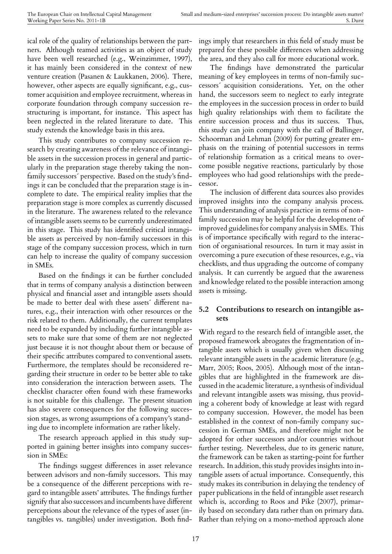ical role of the quality of relationships between the partners. Although teamed activities as an object of study have been well researched (e.g., Weinzimmer, 1997), it has mainly been considered in the context of new venture creation (Pasanen & Laukkanen, 2006). There, however, other aspects are equally significant, e.g., customer acquisition and employee recruitment, whereas in corporate foundation through company succession restructuring is important, for instance. This aspect has been neglected in the related literature to date. This study extends the knowledge basis in this area.

This study contributes to company succession research by creating awareness of the relevance of intangible assets in the succession process in general and particularly in the preparation stage thereby taking the nonfamily successors´ perspective. Based on the study's findings it can be concluded that the preparation stage is incomplete to date. The empirical reality implies that the preparation stage is more complex as currently discussed in the literature. The awareness related to the relevance of intangible assets seems to be currently underestimated in this stage. This study has identified critical intangible assets as perceived by non-family successors in this stage of the company succession process, which in turn can help to increase the quality of company succession in SMEs.

Based on the findings it can be further concluded that in terms of company analysis a distinction between physical and financial asset and intangible assets should be made to better deal with these assets´ different natures, e.g., their interaction with other resources or the risk related to them. Additionally, the current templates need to be expanded by including further intangible assets to make sure that some of them are not neglected just because it is not thought about them or because of their specific attributes compared to conventional assets. Furthermore, the templates should be reconsidered regarding their structure in order to be better able to take into consideration the interaction between assets. The checklist character often found with these frameworks is not suitable for this challenge. The present situation has also severe consequences for the following succession stages, as wrong assumptions of a company's standing due to incomplete information are rather likely.

The research approach applied in this study supported in gaining better insights into company succession in SMEs:

The findings suggest differences in asset relevance between advisors and non-family successors. This may be a consequence of the different perceptions with regard to intangible assets' attributes. The findings further signify that also successors and incumbents have different perceptions about the relevance of the types of asset (intangibles vs. tangibles) under investigation. Both findings imply that researchers in this field of study must be prepared for these possible differences when addressing the area, and they also call for more educational work.

The findings have demonstrated the particular meaning of key employees in terms of non-family successors´ acquisition considerations. Yet, on the other hand, the successors seem to neglect to early integrate the employees in the succession process in order to build high quality relationships with them to facilitate the entire succession process and thus its success. Thus, this study can join company with the call of Ballinger, Schoorman and Lehman (2009) for putting greater emphasis on the training of potential successors in terms of relationship formation as a critical means to overcome possible negative reactions, particularly by those employees who had good relationships with the predecessor.

The inclusion of different data sources also provides improved insights into the company analysis process. This understanding of analysis practice in terms of nonfamily succession may be helpful for the development of improved guidelines for company analysis in SMEs. This is of importance specifically with regard to the interaction of organisational resources. In turn it may assist in overcoming a pure execution of these resources, e.g., via checklists, and thus upgrading the outcome of company analysis. It can currently be argued that the awareness and knowledge related to the possible interaction among assets is missing.

#### **5.2 Contributions to research on intangible assets**

With regard to the research field of intangible asset, the proposed framework abrogates the fragmentation of intangible assets which is usually given when discussing relevant intangible assets in the academic literature (e.g., Marr, 2005; Roos, 2005). Although most of the intangibles that are highlighted in the framework are discussed in the academic literature, a synthesis of individual and relevant intangible assets was missing, thus providing a coherent body of knowledge at least with regard to company succession. However, the model has been established in the context of non-family company succession in German SMEs, and therefore might not be adopted for other successors and/or countries without further testing. Nevertheless, due to its generic nature, the framework can be taken as starting-point for further research. In addition, this study provides insights into intangible assets of actual importance. Consequently, this study makes its contribution in delaying the tendency of paper publications in the field of intangible asset research which is, according to Roos and Pike (2007), primarily based on secondary data rather than on primary data. Rather than relying on a mono-method approach alone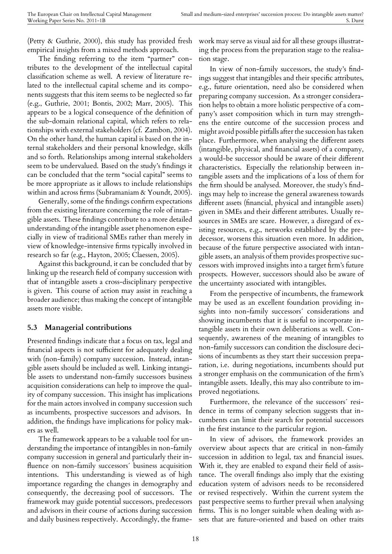(Petty & Guthrie, 2000), this study has provided fresh empirical insights from a mixed methods approach.

The finding referring to the item "partner" contributes to the development of the intellectual capital classification scheme as well. A review of literature related to the intellectual capital scheme and its components suggests that this item seems to be neglected so far (e.g., Guthrie, 2001; Bontis, 2002; Marr, 2005). This appears to be a logical consequence of the definition of the sub-domain relational capital, which refers to relationships with external stakeholders (cf. Zambon, 2004). On the other hand, the human capital is based on the internal stakeholders and their personal knowledge, skills and so forth. Relationships among internal stakeholders seem to be undervalued. Based on the study's findings it can be concluded that the term "social capital" seems to be more appropriate as it allows to include relationships within and across firms (Subramaniam & Youndt, 2005).

Generally, some of the findings confirm expectations from the existing literature concerning the role of intangible assets. These findings contribute to a more detailed understanding of the intangible asset phenomenon especially in view of traditional SMEs rather than merely in view of knowledge-intensive firms typically involved in research so far (e.g., Hayton, 2005; Claessen, 2005).

Against this background, it can be concluded that by linking up the research field of company succession with that of intangible assets a cross-disciplinary perspective is given. This course of action may assist in reaching a broader audience; thus making the concept of intangible assets more visible.

#### **5.3 Managerial contributions**

Presented findings indicate that a focus on tax, legal and financial aspects is not sufficient for adequately dealing with (non-family) company succession. Instead, intangible assets should be included as well. Linking intangible assets to understand non-family successors business acquisition considerations can help to improve the quality of company succession. This insight has implications for the main actors involved in company succession such as incumbents, prospective successors and advisors. In addition, the findings have implications for policy makers as well.

The framework appears to be a valuable tool for understanding the importance of intangibles in non-family company succession in general and particularly their influence on non-family successors´ business acquisition intentions. This understanding is viewed as of high importance regarding the changes in demography and consequently, the decreasing pool of successors. The framework may guide potential successors, predecessors and advisors in their course of actions during succession and daily business respectively. Accordingly, the frame-

work may serve as visual aid for all these groups illustrating the process from the preparation stage to the realisation stage.

In view of non-family successors, the study's findings suggest that intangibles and their specific attributes, e.g., future orientation, need also be considered when preparing company succession. As a stronger consideration helps to obtain a more holistic perspective of a company's asset composition which in turn may strengthens the entire outcome of the succession process and might avoid possible pitfalls after the succession has taken place. Furthermore, when analysing the different assets (intangible, physical, and financial assets) of a company, a would-be successor should be aware of their different characteristics. Especially the relationship between intangible assets and the implications of a loss of them for the firm should be analysed. Moreover, the study's findings may help to increase the general awareness towards different assets (financial, physical and intangible assets) given in SMEs and their different attributes. Usually resources in SMEs are scare. However, a disregard of existing resources, e.g., networks established by the predecessor, worsens this situation even more. In addition, because of the future perspective associated with intangible assets, an analysis of them provides prospective successors with improved insights into a target firm's future prospects. However, successors should also be aware of the uncertainty associated with intangibles.

From the perspective of incumbents, the framework may be used as an excellent foundation providing insights into non-family successors´ considerations and showing incumbents that it is useful to incorporate intangible assets in their own deliberations as well. Consequently, awareness of the meaning of intangibles to non-family successors can condition the disclosure decisions of incumbents as they start their succession preparation, i.e. during negotiations, incumbents should put a stronger emphasis on the communication of the firm's intangible assets. Ideally, this may also contribute to improved negotiations.

Furthermore, the relevance of the successors´ residence in terms of company selection suggests that incumbents can limit their search for potential successors in the first instance to the particular region.

In view of advisors, the framework provides an overview about aspects that are critical in non-family succession in addition to legal, tax and financial issues. With it, they are enabled to expand their field of assistance. The overall findings also imply that the existing education system of advisors needs to be reconsidered or revised respectively. Within the current system the past perspective seems to further prevail when analysing firms. This is no longer suitable when dealing with assets that are future-oriented and based on other traits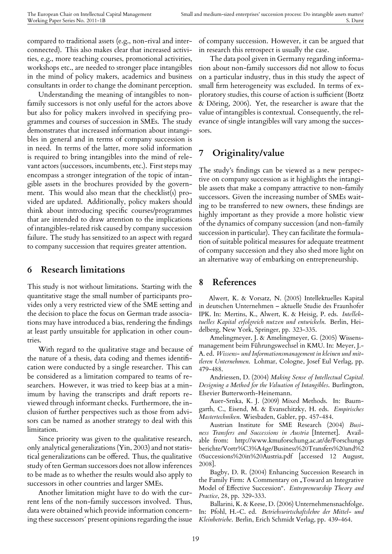compared to traditional assets (e.g., non-rival and interconnected). This also makes clear that increased activities, e.g., more teaching courses, promotional activities, workshops etc., are needed to stronger place intangibles in the mind of policy makers, academics and business consultants in order to change the dominant perception.

Understanding the meaning of intangibles to nonfamily successors is not only useful for the actors above but also for policy makers involved in specifying programmes and courses of succession in SMEs. The study demonstrates that increased information about intangibles in general and in terms of company succession is in need. In terms of the latter, more solid information is required to bring intangibles into the mind of relevant actors (successors, incumbents, etc.). First steps may encompass a stronger integration of the topic of intangible assets in the brochures provided by the government. This would also mean that the checklist(s) provided are updated. Additionally, policy makers should think about introducing specific courses/programmes that are intended to draw attention to the implications of intangibles-related risk caused by company succession failure. The study has sensitized to an aspect with regard to company succession that requires greater attention.

#### **6 Research limitations**

This study is not without limitations. Starting with the quantitative stage the small number of participants provides only a very restricted view of the SME setting and the decision to place the focus on German trade associations may have introduced a bias, rendering the findings at least partly unsuitable for application in other countries.

With regard to the qualitative stage and because of the nature of a thesis, data coding and themes identification were conducted by a single researcher. This can be considered as a limitation compared to teams of researchers. However, it was tried to keep bias at a minimum by having the transcripts and draft reports reviewed through informant checks. Furthermore, the inclusion of further perspectives such as those from advisors can be named as another strategy to deal with this limitation.

Since priority was given to the qualitative research, only analytical generalizations (Yin, 2003) and not statistical generalizations can be offered. Thus, the qualitative study of ten German successors does not allow inferences to be made as to whether the results would also apply to successors in other countries and larger SMEs.

Another limitation might have to do with the current lens of the non-family successors involved. Thus, data were obtained which provide information concerning these successors´ present opinions regarding the issue

of company succession. However, it can be argued that in research this retrospect is usually the case.

The data pool given in Germany regarding information about non-family successors did not allow to focus on a particular industry, thus in this study the aspect of small firm heterogeneity was excluded. In terms of exploratory studies, this course of action is sufficient (Bortz & Döring, 2006). Yet, the researcher is aware that the value of intangibles is contextual. Consequently, the relevance of single intangibles will vary among the successors.

# **7 Originality/value**

The study's findings can be viewed as a new perspective on company succession as it highlights the intangible assets that make a company attractive to non-family successors. Given the increasing number of SMEs waiting to be transferred to new owners, these findings are highly important as they provide a more holistic view of the dynamics of company succession (and non-family succession in particular). They can facilitate the formulation of suitable political measures for adequate treatment of company succession and they also shed more light on an alternative way of embarking on entrepreneurship.

### **8 References**

Alwert, K. & Vorsatz, N. (2005) Intellektuelles Kapital in deutschen Unternehmen – aktuelle Studie des Fraunhofer IPK. In: Mertins, K., Alwert, K. & Heisig, P. eds. *Intellektuelles Kapital erfolgreich nutzen und entwickeln*. Berlin, Heidelberg, New York, Springer, pp. 323-335.

Amelingmeyer, J. & Amelingmeyer, G. (2005) Wissensmanagement beim Führungswechsel in KMU. In: Meyer, J.- A. ed. *Wissens- und Informationsmanagement in kleinen und mittleren Unternehmen*. Lohmar, Cologne, Josef Eul Verlag, pp. 479-488.

Andriessen, D. (2004) *Making Sense of Intellectual Capital. Designing a Method for the Valuation of Intangibles*. Burlington, Elsevier Butterworth-Heinemann.

Auer-Srnka, K. J. (2009) Mixed Methods. In: Baumgarth, C., Eisend, M. & Evanschitzky, H. eds. *Empirisches Mastertechniken*. Wiesbaden, Gabler, pp. 457-484.

Austrian Institute for SME Research (2004) *Business Transfers and Successions in Austria* [Internet]. Available from: http://www.kmuforschung.ac.at/de/Forschungs berichte/Vortr%C3%A4ge/Business%20Transfers%20and%2 0Successions%20in%20Austria.pdf [accessed 12 August, 2008].

Bagby, D. R. (2004) Enhancing Succession Research in the Family Firm: A Commentary on "Toward an Integrative Model of Effective Succession". *Entrepreneurship Theory and Practice*, 28, pp. 329-333.

Ballarini, K. & Keese, D. (2006) Unternehmensnachfolge. In: Pfohl, H.-C. ed. *Betriebswirtschaftslehre der Mittel- und Kleinbetriebe*. Berlin, Erich Schmidt Verlag, pp. 439-464.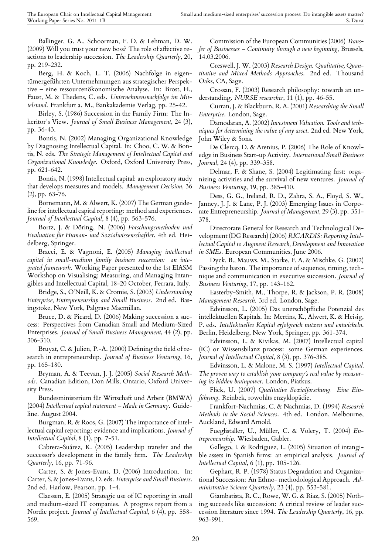Ballinger, G. A., Schoorman, F. D. & Lehman, D. W. (2009) Will you trust your new boss? The role of affective reactions to leadership succession. *The Leadership Quarterly*, 20, pp. 219-232.

Berg, H. & Koch, L. T. (2006) Nachfolge in eigentümergeführten Unternehmungen aus strategischer Perspektive – eine ressourcenökonomische Analyse. In: Brost, H., Faust, M. & Thedens, C. eds. *Unternehmensnachfolge im Mittelstand*. Frankfurt a. M., Bankakademie Verlag, pp. 25-42.

Birley, S. (1986) Succession in the Family Firm: The Inheritor´s View. *Journal of Small Business Management*, 24 (3), pp. 36-43.

Bontis, N. (2002) Managing Organizational Knowledge by Diagnosing Intellectual Capital. In: Choo, C. W. & Bontis, N. eds. *The Strategic Management of Intellectual Capital and Organizational Knowledge*. Oxford, Oxford University Press, pp. 621-642.

Bontis, N. (1998) Intellectual capital: an exploratory study that develops measures and models. *Management Decision*, 36 (2), pp. 63-76.

Bornemann, M. & Alwert, K. (2007) The German guideline for intellectual capital reporting: method and experiences. *Journal of Intellectual Capital*, 8 (4), pp. 563-576.

Bortz, J. & Döring, N. (2006) *Forschungsmethoden und Evaluation für Human- und Sozialwissenschaftler*. 4th ed. Heidelberg, Springer.

Bracci, E. & Vagnoni, E. (2005) *Managing intellectual capital in small-medium family business succession: an integrated framework*. Working Paper presented to the 1st EIASM Workshop on Visualising; Measuring, and Managing Intangibles and Intellectual Capital, 18-20 October, Ferrara, Italy.

Bridge, S., O'Neill, K. & Cromie, S. (2003) *Understanding Enterprise, Entrepreneurship and Small Business*. 2nd ed. Basingstoke, New York, Palgrave Macmillan.

Bruce, D. & Picard, D. (2006) Making succession a success: Perspectives from Canadian Small and Medium-Sized Enterprises. *Journal of Small Business Management*, 44 (2), pp. 306-310.

Bruyat, C. & Julien, P.-A. (2000) Defining the field of research in entrepreneurship. *Journal of Business Venturing*, 16, pp. 165-180.

Bryman, A. & Teevan, J. J. (2005) *Social Research Methods*. Canadian Edition, Don Mills, Ontario, Oxford University Press.

Bundesministerium für Wirtschaft und Arbeit (BMWA) (2004) *Intellectual capital statement – Made in Germany*. Guideline. August 2004.

Burgman, R. & Roos, G. (2007) The importance of intellectual capital reporting: evidence and implications. *Journal of Intellectual Capital*, 8 (1), pp. 7-51.

Cabrera-Suárez, K. (2005) Leadership transfer and the successor's development in the family firm. *The Leadership Quarterly*, 16, pp. 71-96.

Carter, S. & Jones-Evans, D. (2006) Introduction. In: Carter, S. & Jones-Evans, D. eds. *Enterprise and Small Business*. 2nd ed. Harlow, Pearson, pp. 1-4.

Claessen, E. (2005) Strategic use of IC reporting in small and medium-sized IT companies. A progress report from a Nordic project. *Journal of Intellectual Capital*, 6 (4), pp. 558- 569.

Commission of the European Communities (2006) *Transfer of Businesses – Continuity through a new beginning*, Brussels, 14.03.2006.

Creswell, J. W. (2003) *Research Design. Qualitative, Quantitative and Mixed Methods Approaches*. 2nd ed. Thousand Oaks, CA, Sage.

Crossan, F. (2003) Research philosophy: towards an understanding. *NURSE researcher*, 11 (1), pp. 46-55.

Curran, J. & Blackburn, R. A. (2001) *Researching the Small Enterprise*. London, Sage.

Damodaran, A. (2002) *Investment Valuation. Tools and techniques for determining the value of any asset*. 2nd ed. New York, John Wiley & Sons.

De Clercq, D. & Arenius, P. (2006) The Role of Knowledge in Business Start-up Activity. *International Small Business Journal*, 24 (4), pp. 339-358.

Delmar, F. & Shane, S. (2004) Legitimating first: organizing activities and the survival of new ventures. *Journal of Business Venturing*, 19, pp. 385-410.

Dess, G. G., Ireland, R. D., Zahra, S. A., Floyd, S. W., Janney, J. J. & Lane, P. J. (2003) Emerging Issues in Corporate Entrepreneurship. *Journal of Management*, 29 (3), pp. 351- 378.

Directorate General for Research and Technological Development (DG Research) (2006) *RICARDIS: Reporting Intellectual Capital to Augment Research, Development and Innovation in SMEs*. European Communities, June 2006.

Dyck, B., Mauws, M., Starke, F. A. & Mischke, G. (2002) Passing the baton. The importance of sequence, timing, technique and communication in executive succession. *Journal of Business Venturing*, 17, pp. 143-162.

Easterby-Smith, M., Thorpe, R. & Jackson, P. R. (2008) *Management Research*. 3rd ed. London, Sage.

Edvinsson, L. (2005) Das unerschöpfliche Potenzial des intellektuellen Kapitals. In: Mertins, K., Alwert, K. & Heisig, P. eds. *Intellektuelles Kapital erfolgreich nutzen und entwickeln*. Berlin, Heidelberg, New York, Springer, pp. 361-374.

Edvinsson, L. & Kivikas, M. (2007) Intellectual capital (IC) or Wissensbilanz process: some German experiences. *Journal of Intellectual Capital*, 8 (3), pp. 376-385.

Edvinsson, L. & Malone, M. S. (1997) *Intellectual Capital. The proven way to establish your company's real value by measuring its hidden brainpower*. London, Piatkus.

Flick, U. (2007) *Qualitative Sozialforschung. Eine Einführung*. Reinbek, rowohlts enzyklopädie.

Frankfort-Nachmias, C. & Nachmias, D. (1994) *Research Methods in the Social Sciences*. 4th ed. London, Melbourne, Auckland, Edward Arnold.

Fueglistaller, U., Müller, C. & Volery, T. (2004) *Entrepreneurship*. Wiesbaden, Gabler.

Gallego, I. & Rodríguez, L. (2005) Situation of intangible assets in Spanish firms: an empirical analysis. *Journal of Intellectual Capital*, 6 (1), pp. 105-126.

Gephart, R. P. (1978) Status Degradation and Organizational Succession: An Ethno- methodological Approach. *Administrative Science Quarterly*, 23 (4), pp. 553-581.

Giambatista, R. C., Rowe, W. G. & Riaz, S. (2005) Nothing succeeds like succession: A critical review of leader succession literature since 1994. *The Leadership Quarterly*, 16, pp. 963-991.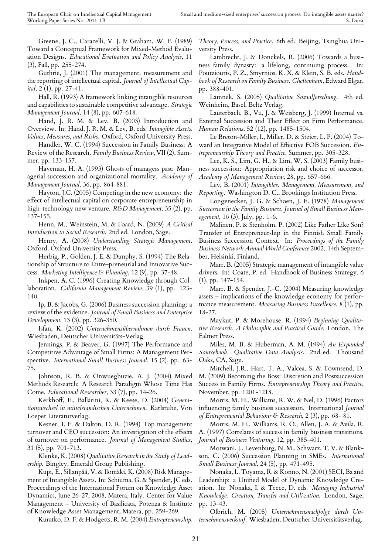Greene, J. C., Caracelli, V. J. & Graham, W. F. (1989) Toward a Conceptual Framework for Mixed-Method Evaluation Designs. *Educational Evaluation and Policy Analysis*, 11 (3), Fall, pp. 255-274.

Guthrie, J. (2001) The management, measurement and the reporting of intellectual capital. *Journal of Intellectual Capital*, 2 (1), pp. 27-41.

Hall, R. (1993) A framework linking intangible resources and capabilities to sustainable competitive advantage. *Strategic Management Journal*, 14 (8), pp. 607-618.

Hand, J. R. M. & Lev, B. (2003) Introduction and Overview. In: Hand, J. R. M. & Lev, B. eds. *Intangible Assets. Values, Measures, and Risks*. Oxford, Oxford University Press.

Handler, W. C. (1994) Succession in Family Business: A Review of the Research. *Family Business Review*, VII (2), Summer, pp. 133-157.

Haveman, H. A. (1993) Ghosts of managers past: Managerial succession and organizational mortality. *Academy of Management Journal*, 36, pp. 864-881.

Hayton, J.C. (2005) Competing in the new economy: the effect of intellectual capital on corporate entrepreneurship in high-technology new venture. *R&D Management*, 35 (2), pp. 137-155.

Henn, M., Weinstein, M. & Foard, N. (2009) *A Critical Introduction to Social Research*. 2nd ed. London, Sage.

Henry, A. (2008) *Understanding Strategic Management*. Oxford, Oxford University Press.

Herbig, P., Golden, J. E. & Dunphy, S. (1994) The Relationship of Structure to Entre-preneurial and Innovative Success. *Marketing Intelligence & Planning*, 12 (9), pp. 37-48.

Inkpen, A. C. (1996) Creating Knowledge through Collaboration. *California Management Review*, 39 (1), pp. 123- 140.

Ip, B. & Jacobs, G. (2006) Business succession planning: a review of the evidence. *Journal of Small Business and Enterprise Development*, 13 (3), pp. 326-350.

Isfan, K. (2002) *Unternehmensübernahmen durch Frauen*. Wiesbaden, Deutscher Universitäts-Verlag.

Jennings, P. & Beaver, G. (1997) The Performance and Competitive Advantage of Small Firms: A Management Perspective. *International Small Business Journal*, 15 (2), pp. 63- 75.

Johnson, R. B. & Onwuegbuzie, A. J. (2004) Mixed Methods Research: A Research Paradigm Whose Time Has Come. *Educational Researcher*, 33 (7), pp. 14-26.

Kerkhoff, E., Ballarini, K. & Keese, D. (2004) *Generationswechsel in mittelständischen Unternehmen*. Karlsruhe, Von Loeper Literaturverlag.

Kesner, I. F. & Dalton, D. R. (1994) Top management turnover and CEO succession: An investigation of the effects of turnover on performance. *Journal of Management Studies*, 31 (5), pp. 701-713.

Klenke, K. (2008) *Qualitative Research in the Study of Leadership*. Bingley, Emerald Group Publishing.

Kupi, E., Sillanpää, V. & Ilomäki, K. (2008) Risk Management of Intangible Assets. In: Schiuma, G. & Spender, JC eds. Proceedings of the International Forum on Knowledge Asset Dynamics, June 26-27, 2008, Matera, Italy. Center for Value Management – University of Basilicata, Potenza & Institute of Knowledge Asset Management, Matera, pp. 259-269.

Kuratko, D. F. & Hodgetts, R. M. (2004) *Entrepreneurship.*

*Theory, Process, and Practice*. 6th ed. Beijing, Tsinghua University Press.

Lambrecht, J. & Donckels, R. (2006) Towards a business family dynasty: a lifelong, continuing process. In: Poutziouris, P. Z., Smyrnios, K. X. & Klein, S. B. eds. *Handbook of Research on Family Business. Cheltenham*, Edward Elgar, pp. 388-401.

Lamnek, S. (2005) *Qualitative Sozialforschung*. 4th ed. Weinheim, Basel, Beltz Verlag.

Lauterbach, B., Vu, J. & Weisberg, J. (1999) Internal vs. External Succession and Their Effect on Firm Performance. *Human Relations*, 52 (12), pp. 1485-1504.

Le Breton-Miller, I., Miller, D. & Steier, L. P. (2004) Toward an Integrative Model of Effective FOB Succession. *Entrepreneurship Theory and Practice*, Summer, pp. 305-328.

Lee, K. S., Lim, G. H., & Lim, W. S. (2003) Family business succession: Appropriation risk and choice of successor. *Academy of Management Review*, 28, pp. 657-666.

Lev, B. (2001) *Intangibles. Management, Measurement, and Reporting*. Washington D. C., Brookings Institution Press.

Longenecker, J. G. & Schoen, J. E. (1978) *Management Succession in the Family Business. Journal of Small Business Management*, 16 (3), July, pp. 1-6.

Malinen, P. & Stenholm, P. (2002) Like Father Like Son? Transfer of Entrepreneurship in the Finnish Small Family Business Succession Context. In: *Proceedings of the Family Business Network Annual World Conference* 2002. 14th September, Helsinki, Finland.

Marr, B. (2005) Strategic management of intangible value drivers. In: Coate, P. ed. Handbook of Business Strategy, 6 (1), pp. 147-154.

Marr, B. & Spender, J.-C. (2004) Measuring knowledge assets – implications of the knowledge economy for performance measurement. *Measuring Business Excellence*, 8 (1), pp. 18-27.

Maykut, P. & Morehouse, R. (1994) *Beginning Qualitative Research. A Philosophic and Practical Guide*. London, The Falmer Press.

Miles, M. B. & Huberman, A. M. (1994) *An Expanded Sourcebook. Qualitative Data Analysis*. 2nd ed. Thousand Oaks, CA, Sage.

Mitchell, J.R., Hart, T. A., Valcea, S. & Townsend, D. M. (2009) Becoming the Boss: Discretion and Postsuccession Success in Family Firms. *Entrepreneurship Theory and Practice*, November, pp. 1201-1218.

Morris, M. H., Williams, R. W. & Nel, D. (1996) Factors influencing family business succession. International *Journal of Entrepreneurial Behaviour & Research*, 2 (3), pp. 68- 81.

Morris, M. H., Williams, R. O., Allen, J. A. & Avila, R. A. (1997) Correlates of success in family business transitions. *Journal of Business Venturing*, 12, pp. 385-401.

Motwani, J., Levenburg, N. M., Schwarz, T. V. & Blankson, C. (2006) Succession Planning in SMEs. *International Small Business Journal*, 24 (5), pp. 471-495.

Nonaka, I., Toyama, R. & Konno, N. (2001) SECI, Ba and Leadership: a Unified Model of Dynamic Knowledge Creation. In: Nonaka, I. & Teece, D. eds. *Managing Industrial Knowledge. Creation, Transfer and Utilization*. London, Sage, pp. 13-43.

Olbrich, M. (2005) *Unternehmensnachfolge durch Unternehmensverkauf*. Wiesbaden, Deutscher Universitätsverlag.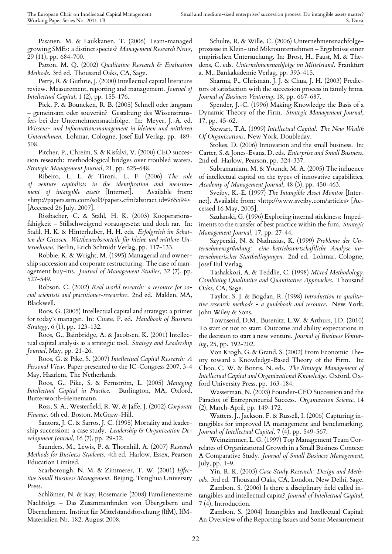Pasanen, M. & Laukkanen, T. (2006) Team-managed growing SMEs: a distinct species? *Management Research News*, 29 (11), pp. 684-700.

Patton, M. Q. (2002) *Qualitative Research & Evaluation Methods*. 3rd ed. Thousand Oaks, CA, Sage.

Petty, R. & Guthrie, J. (2000) Intellectual capital literature review. Measurement, reporting and management. *Journal of Intellectual Capital*, 1 (2), pp. 155-176.

Pick, P. & Bouncken, R. B. (2005) Schnell oder langsam – gemeinsam oder souverän? Gestaltung des Wissenstransfers bei der Unternehmensnachfolge. In: Meyer, J.-A. ed. *Wissens- und Informationsmanagement in kleinen und mittleren Unternehmen*. Lohmar, Cologne, Josef Eul Verlag, pp. 489- 508.

Pitcher, P., Chreim, S. & Kisfalvi, V. (2000) CEO succession research: methodological bridges over troubled waters. *Strategic Management Journal*, 21, pp. 625-648.

Ribeiro, L. L. & Tironi, L. F. (2006) *The role of venture capitalists in the identification and measurement of intangible assets* [Internet]. Available from: <http://papers.ssrn.com/sol3/papers.cfm?abstract id=965594> [Accessed 26 July, 2007].

Rissbacher, C. & Stahl, H. K. (2003) Kooperationsfähigkeit – Stillschweigend vorausgesetzt und doch rar. In: Stahl, H. K. & Hinterhuber, H. H. eds. *Erfolgreich im Schatten der Grossen. Wettbewerbsvorteile für kleine und mittlere Unternehmen*. Berlin, Erich Schmidt Verlag, pp. 117-133.

Robbie, K. & Wright, M. (1995) Managerial and ownership succession and corporate restructuring: The case of management buy-ins. *Journal of Management Studies*, 32 (7), pp. 527-549.

Robson, C. (2002) *Real world research: a resource for social scientists and practitioner-researcher*. 2nd ed. Malden, MA, Blackwell.

Roos, G. (2005) Intellectual capital and strategy: a primer for today's manager. In: Coate, P. ed. *Handbook of Business Strategy*, 6 (1), pp. 123-132.

Roos, G., Bainbridge, A. & Jacobsen, K. (2001) Intellectual capital analysis as a strategic tool. *Strategy and Leadership Journal*, May, pp. 21-26.

Roos, G. & Pike, S. (2007) *Intellectual Capital Research: A Personal View*. Paper presented to the IC-Congress 2007, 3-4 May, Haarlem, The Netherlands.

Roos, G., Pike, S. & Fernström, L. (2005) *Managing Intellectual Capital in Practice*. Burlington, MA, Oxford, Butterworth-Heinemann.

Ross, S. A., Westerfield, R. W. & Jaffe, J. (2002) *Corporate Finance*. 6th ed. Boston, McGraw-Hill.

Santora, J. C. & Sarros, J. C. (1995) Mortality and leadership succession: a case study. *Leadership & Organization Development Journal*, 16 (7), pp. 29-32.

Saunders, M., Lewis, P. & Thornhill, A. (2007) *Research Methods for Business Students*. 4th ed. Harlow, Essex, Pearson Education Limited.

Scarborough, N. M. & Zimmerer, T. W. (2001) *Effective Small Business Management*. Beijing, Tsinghua University Press.

Schlömer, N. & Kay, Rosemarie (2008) Familienexterne Nachfolge – Das Zusammenfinden von Übergebern und Übernehmern. Institut für Mittelstandsforschung (IfM), IfM-Materialien Nr. 182, August 2008.

Schulte, R. & Wille, C. (2006) Unternehmensnachfolgeprozesse in Klein- und Mikrounternehmen – Ergebnisse einer empirischen Untersuchung. In: Brost, H., Faust, M. & Thedens, C. eds. *Unternehmensnachfolge im Mittelstand*. Frankfurt a. M., Bankakademie Verlag, pp. 393-415.

Sharma, P., Chrisman, J. J. & Chua, J. H. (2003) Predictors of satisfaction with the succession process in family firms. *Journal of Business Venturing*, 18, pp. 667-687.

Spender, J.-C. (1996) Making Knowledge the Basis of a Dynamic Theory of the Firm. *Strategic Management Journal*, 17, pp. 45-62.

Stewart, T.A. (1999) *Intellectual Capital. The New Wealth Of Organizations*. New York, Doubleday.

Stokes, D. (2006) Innovation and the small business. In: Carter, S. & Jones-Evans, D. eds. *Enterprise and Small Business*. 2nd ed. Harlow, Pearson, pp. 324-337.

Subramaniam, M. & Youndt, M. A. (2005) The influence of intellectual capital on the types of innovative capabilities. *Academy of Management Journal*, 48 (3), pp. 450-463.

Sveiby, K.-E. (1997) *The Intangible Asset Monitor* [Internet]. Available from: <http://www.sveiby.com/articles> [Accessed 16 May, 2005].

Szulanski, G. (1996) Exploring internal stickiness: Impediments to the transfer of best practice within the firm. *Strategic Management Journal*, 17, pp. 27-44.

Szyperski, N. & Nathusius, K. (1999) *Probleme der Unternehmensgründung: eine betriebswirtschaftliche Analyse unternehmerischer Startbedingungen*. 2nd ed. Lohmar, Cologne, Josef Eul Verlag.

Tashakkori, A. & Teddlie, C. (1998) *Mixed Methodology. Combining Qualitative and Quantitative Approaches*. Thousand Oaks, CA, Sage.

Taylor, S. J. & Bogdan, R. (1998) *Introduction to qualitative research methods - a guidebook and resource*. New York, John Wiley & Sons.

Townsend, D.M., Busenitz, L.W. & Arthurs, J.D. (2010) To start or not to start: Outcome and ability expectations in the decision to start a new venture. *Journal of Business Venturing*, 25, pp. 192-202.

Von Krogh, G. & Grand, S. (2002) From Economic Theory toward a Knowledge-Based Theory of the Firm. In: Choo, C. W. & Bontis, N. eds. *The Strategic Management of Intellectual Capital and Organizational Knowledge*. Oxford, Oxford University Press, pp. 163-184.

Wasserman, N. (2003) Founder-CEO Succession and the Paradox of Entrepreneurial Success. *Organization Science*, 14 (2), March-April, pp. 149-172.

Watters, J., Jackson, F. & Russell, I. (2006) Capturing intangibles for improved IA management and benchmarking. *Journal of Intellectual Capital*, 7 (4), pp. 549-567.

Weinzimmer, L. G. (1997) Top Management Team Correlates of Organizational Growth in a Small Business Context: A Comparative Study. *Journal of Small Business Management*, July, pp. 1-9.

Yin, R. K. (2003) *Case Study Research: Design and Methods*. 3rd ed. Thousand Oaks, CA, London, New Delhi, Sage.

Zambon, S. (2006) Is there a disciplinary field called intangibles and intellectual capita? *Journal of Intellectual Capital*, 7 (4), Introduction.

Zambon, S. (2004) Intangibles and Intellectual Capital: An Overview of the Reporting Issues and Some Measurement